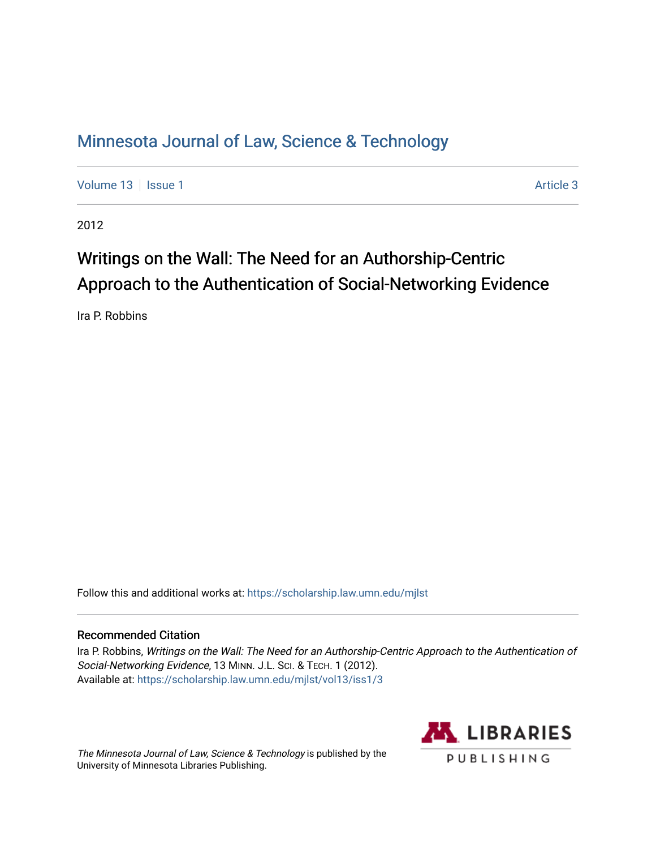# [Minnesota Journal of Law, Science & Technology](https://scholarship.law.umn.edu/mjlst?utm_source=scholarship.law.umn.edu%2Fmjlst%2Fvol13%2Fiss1%2F3&utm_medium=PDF&utm_campaign=PDFCoverPages)

[Volume 13](https://scholarship.law.umn.edu/mjlst/vol13?utm_source=scholarship.law.umn.edu%2Fmjlst%2Fvol13%2Fiss1%2F3&utm_medium=PDF&utm_campaign=PDFCoverPages) | [Issue 1](https://scholarship.law.umn.edu/mjlst/vol13/iss1?utm_source=scholarship.law.umn.edu%2Fmjlst%2Fvol13%2Fiss1%2F3&utm_medium=PDF&utm_campaign=PDFCoverPages) Article 3

2012

# Writings on the Wall: The Need for an Authorship-Centric Approach to the Authentication of Social-Networking Evidence

Ira P. Robbins

Follow this and additional works at: [https://scholarship.law.umn.edu/mjlst](https://scholarship.law.umn.edu/mjlst?utm_source=scholarship.law.umn.edu%2Fmjlst%2Fvol13%2Fiss1%2F3&utm_medium=PDF&utm_campaign=PDFCoverPages) 

# Recommended Citation

Ira P. Robbins, Writings on the Wall: The Need for an Authorship-Centric Approach to the Authentication of Social-Networking Evidence, 13 MINN. J.L. SCI. & TECH. 1 (2012). Available at: [https://scholarship.law.umn.edu/mjlst/vol13/iss1/3](https://scholarship.law.umn.edu/mjlst/vol13/iss1/3?utm_source=scholarship.law.umn.edu%2Fmjlst%2Fvol13%2Fiss1%2F3&utm_medium=PDF&utm_campaign=PDFCoverPages) 

The Minnesota Journal of Law, Science & Technology is published by the University of Minnesota Libraries Publishing.

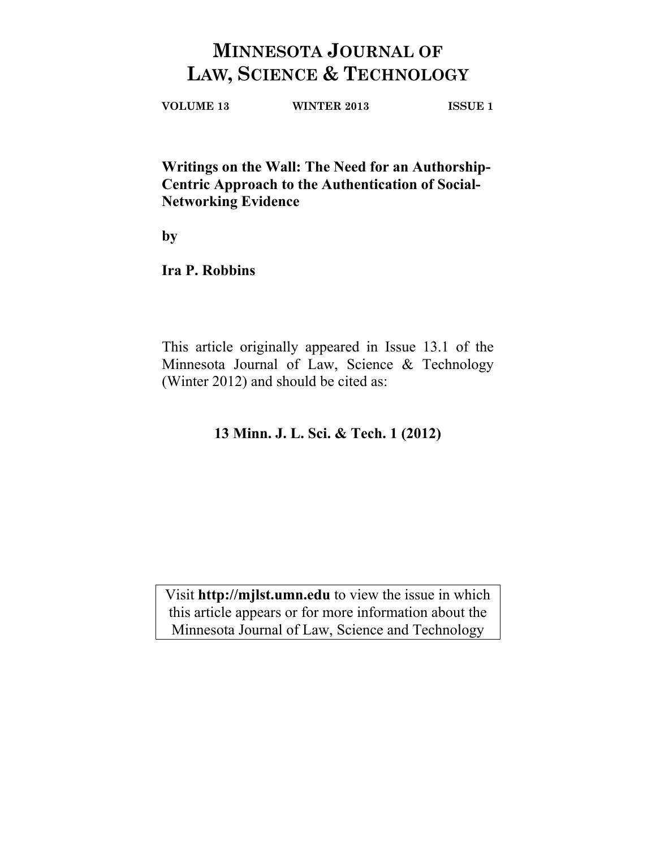# **MINNESOTA JOURNAL OF LAW, SCIENCE & TECHNOLOGY**

**VOLUME 13 WINTER 2013 ISSUE 1**

**Writings on the Wall: The Need for an Authorship-Centric Approach to the Authentication of Social-Networking Evidence** 

**by** 

**Ira P. Robbins** 

This article originally appeared in Issue 13.1 of the Minnesota Journal of Law, Science & Technology (Winter 2012) and should be cited as:

**13 Minn. J. L. Sci. & Tech. 1 (2012)** 

Visit **http://mjlst.umn.edu** to view the issue in which this article appears or for more information about the Minnesota Journal of Law, Science and Technology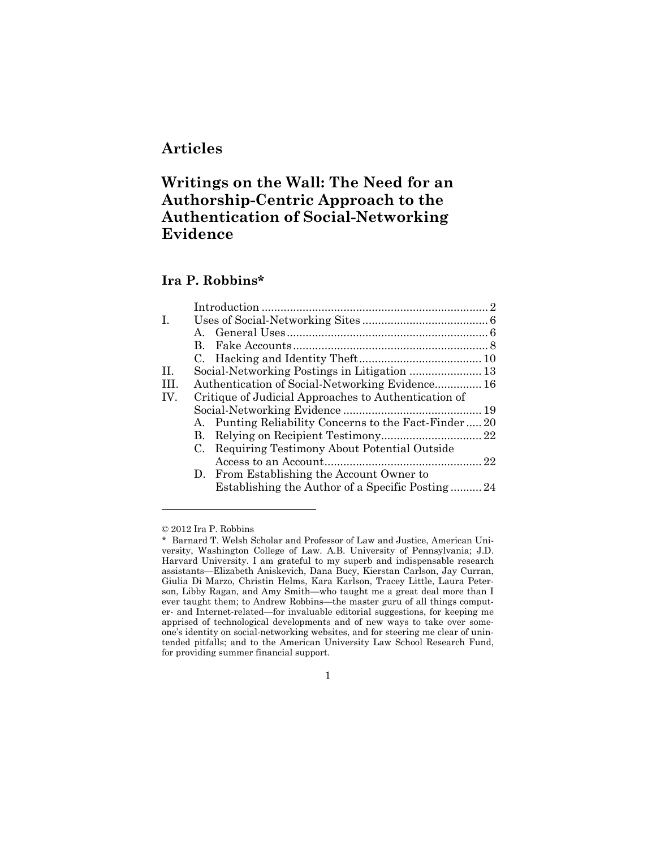# **Articles**

# **Writings on the Wall: The Need for an Authorship-Centric Approach to the Authentication of Social-Networking Evidence**

# **Ira P. Robbins\***

| I.  |             |                                                      |  |
|-----|-------------|------------------------------------------------------|--|
|     |             |                                                      |  |
|     | $B_{\cdot}$ |                                                      |  |
|     |             |                                                      |  |
| H.  |             |                                                      |  |
| HL. |             | Authentication of Social-Networking Evidence 16      |  |
| IV. |             | Critique of Judicial Approaches to Authentication of |  |
|     |             |                                                      |  |
|     |             | A. Punting Reliability Concerns to the Fact-Finder20 |  |
|     |             |                                                      |  |
|     |             | C. Requiring Testimony About Potential Outside       |  |
|     |             |                                                      |  |
|     |             | D. From Establishing the Account Owner to            |  |
|     |             | Establishing the Author of a Specific Posting24      |  |
|     |             |                                                      |  |

l

1

<sup>© 2012</sup> Ira P. Robbins

<sup>\*</sup> Barnard T. Welsh Scholar and Professor of Law and Justice, American University, Washington College of Law. A.B. University of Pennsylvania; J.D. Harvard University. I am grateful to my superb and indispensable research assistants—Elizabeth Aniskevich, Dana Bucy, Kierstan Carlson, Jay Curran, Giulia Di Marzo, Christin Helms, Kara Karlson, Tracey Little, Laura Peterson, Libby Ragan, and Amy Smith—who taught me a great deal more than I ever taught them; to Andrew Robbins—the master guru of all things computer- and Internet-related—for invaluable editorial suggestions, for keeping me apprised of technological developments and of new ways to take over someone's identity on social-networking websites, and for steering me clear of unintended pitfalls; and to the American University Law School Research Fund, for providing summer financial support.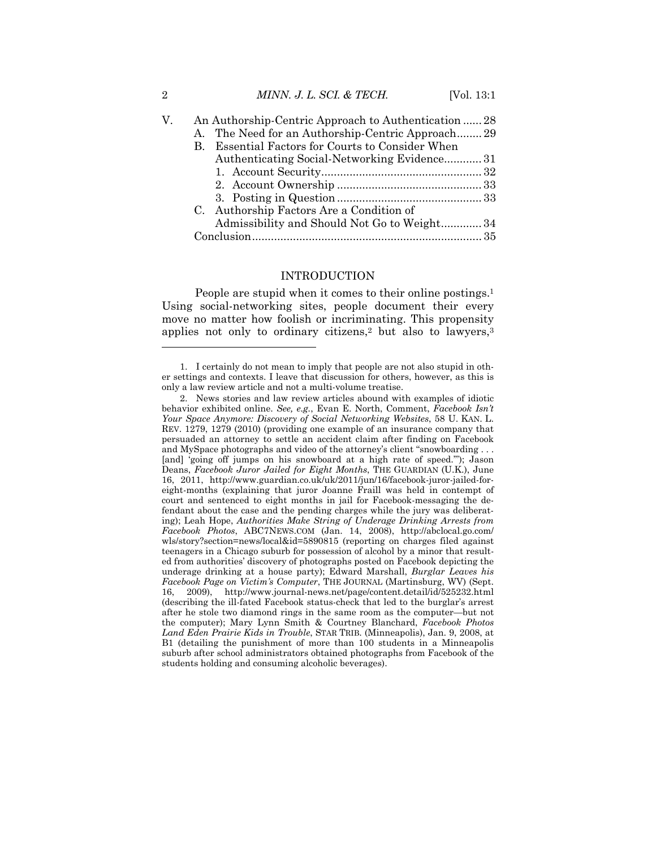| V. |              | An Authorship-Centric Approach to Authentication  28 |  |
|----|--------------|------------------------------------------------------|--|
|    |              | A. The Need for an Authorship-Centric Approach29     |  |
|    | $\mathbf{B}$ | Essential Factors for Courts to Consider When        |  |
|    |              | Authenticating Social-Networking Evidence31          |  |
|    |              |                                                      |  |
|    |              |                                                      |  |
|    |              |                                                      |  |
|    |              | C. Authorship Factors Are a Condition of             |  |
|    |              | Admissibility and Should Not Go to Weight34          |  |
|    |              |                                                      |  |
|    |              |                                                      |  |

#### INTRODUCTION

People are stupid when it comes to their online postings.<sup>1</sup> Using social-networking sites, people document their every move no matter how foolish or incriminating. This propensity applies not only to ordinary citizens,<sup>2</sup> but also to lawyers, $3$ 

 <sup>1.</sup> I certainly do not mean to imply that people are not also stupid in other settings and contexts. I leave that discussion for others, however, as this is only a law review article and not a multi-volume treatise.

 <sup>2.</sup> News stories and law review articles abound with examples of idiotic behavior exhibited online. *See, e.g.*, Evan E. North, Comment, *Facebook Isn't Your Space Anymore: Discovery of Social Networking Websites*, 58 U. KAN. L. REV. 1279, 1279 (2010) (providing one example of an insurance company that persuaded an attorney to settle an accident claim after finding on Facebook and MySpace photographs and video of the attorney's client "snowboarding . . . [and] 'going off jumps on his snowboard at a high rate of speed.'"); Jason Deans, *Facebook Juror Jailed for Eight Months*, THE GUARDIAN (U.K.), June 16, 2011, http://www.guardian.co.uk/uk/2011/jun/16/facebook-juror-jailed-foreight-months (explaining that juror Joanne Fraill was held in contempt of court and sentenced to eight months in jail for Facebook-messaging the defendant about the case and the pending charges while the jury was deliberating); Leah Hope, *Authorities Make String of Underage Drinking Arrests from Facebook Photos*, ABC7NEWS.COM (Jan. 14, 2008), http://abclocal.go.com/ wls/story?section=news/local&id=5890815 (reporting on charges filed against teenagers in a Chicago suburb for possession of alcohol by a minor that resulted from authorities' discovery of photographs posted on Facebook depicting the underage drinking at a house party); Edward Marshall, *Burglar Leaves his Facebook Page on Victim's Computer*, THE JOURNAL (Martinsburg, WV) (Sept. 16, 2009), http://www.journal-news.net/page/content.detail/id/525232.html (describing the ill-fated Facebook status-check that led to the burglar's arrest after he stole two diamond rings in the same room as the computer—but not the computer); Mary Lynn Smith & Courtney Blanchard, *Facebook Photos Land Eden Prairie Kids in Trouble*, STAR TRIB. (Minneapolis), Jan. 9, 2008, at B1 (detailing the punishment of more than 100 students in a Minneapolis suburb after school administrators obtained photographs from Facebook of the students holding and consuming alcoholic beverages).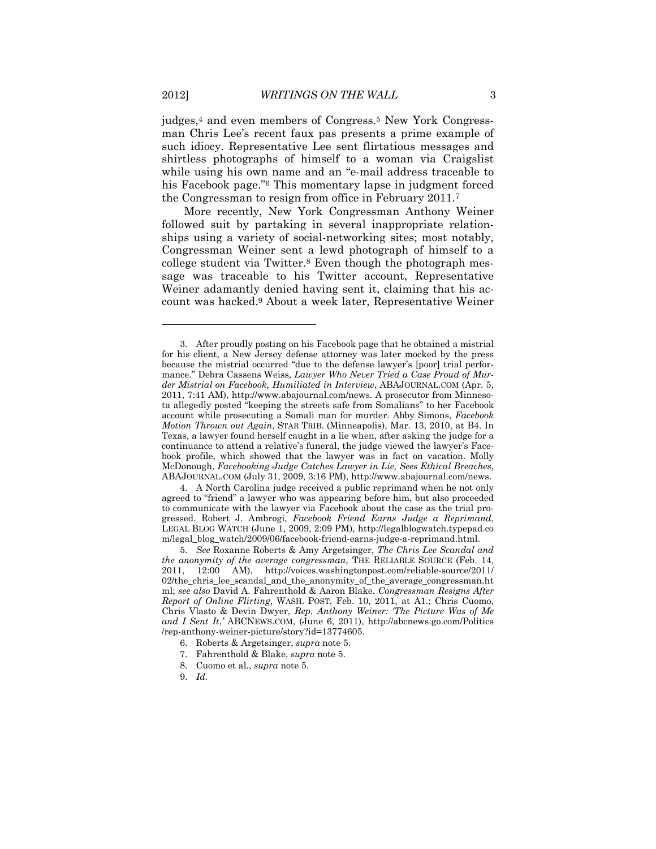judges,4 and even members of Congress.5 New York Congressman Chris Lee's recent faux pas presents a prime example of such idiocy. Representative Lee sent flirtatious messages and shirtless photographs of himself to a woman via Craigslist while using his own name and an "e-mail address traceable to his Facebook page."6 This momentary lapse in judgment forced the Congressman to resign from office in February 2011.7

More recently, New York Congressman Anthony Weiner followed suit by partaking in several inappropriate relationships using a variety of social-networking sites; most notably, Congressman Weiner sent a lewd photograph of himself to a college student via Twitter.8 Even though the photograph message was traceable to his Twitter account, Representative Weiner adamantly denied having sent it, claiming that his account was hacked.9 About a week later, Representative Weiner

 4. A North Carolina judge received a public reprimand when he not only agreed to "friend" a lawyer who was appearing before him, but also proceeded to communicate with the lawyer via Facebook about the case as the trial progressed. Robert J. Ambrogi, *Facebook Friend Earns Judge a Reprimand*, LEGAL BLOG WATCH (June 1, 2009, 2:09 PM), http://legalblogwatch.typepad.co m/legal\_blog\_watch/2009/06/facebook-friend-earns-judge-a-reprimand.html.

9. *Id.*

 <sup>3.</sup> After proudly posting on his Facebook page that he obtained a mistrial for his client, a New Jersey defense attorney was later mocked by the press because the mistrial occurred "due to the defense lawyer's [poor] trial performance." Debra Cassens Weiss, *Lawyer Who Never Tried a Case Proud of Murder Mistrial on Facebook, Humiliated in Interview*, ABAJOURNAL.COM (Apr. 5, 2011, 7:41 AM), http://www.abajournal.com/news. A prosecutor from Minnesota allegedly posted "keeping the streets safe from Somalians" to her Facebook account while prosecuting a Somali man for murder. Abby Simons, *Facebook Motion Thrown out Again*, STAR TRIB. (Minneapolis), Mar. 13, 2010, at B4. In Texas, a lawyer found herself caught in a lie when, after asking the judge for a continuance to attend a relative's funeral, the judge viewed the lawyer's Facebook profile, which showed that the lawyer was in fact on vacation. Molly McDonough, *Facebooking Judge Catches Lawyer in Lie, Sees Ethical Breaches*, ABAJOURNAL.COM (July 31, 2009, 3:16 PM), http://www.abajournal.com/news.

<sup>5.</sup> *See* Roxanne Roberts & Amy Argetsinger, *The Chris Lee Scandal and the anonymity of the average congressman*, THE RELIABLE SOURCE (Feb. 14, 2011, 12:00 AM), http://voices.washingtonpost.com/reliable-source/2011/  $02$ /the chris lee scandal and the anonymity of the average congressman.ht ml; *see also* David A. Fahrenthold & Aaron Blake, *Congressman Resigns After Report of Online Flirting*, WASH. POST, Feb. 10, 2011, at A1.; Chris Cuomo, Chris Vlasto & Devin Dwyer, *Rep. Anthony Weiner: 'The Picture Was of Me and I Sent It*,*'* ABCNEWS.COM, (June 6, 2011), http://abcnews.go.com/Politics /rep-anthony-weiner-picture/story?id=13774605.

 <sup>6.</sup> Roberts & Argetsinger, *supra* note 5.

 <sup>7.</sup> Fahrenthold & Blake, *supra* note 5.

 <sup>8.</sup> Cuomo et al., *supra* note 5.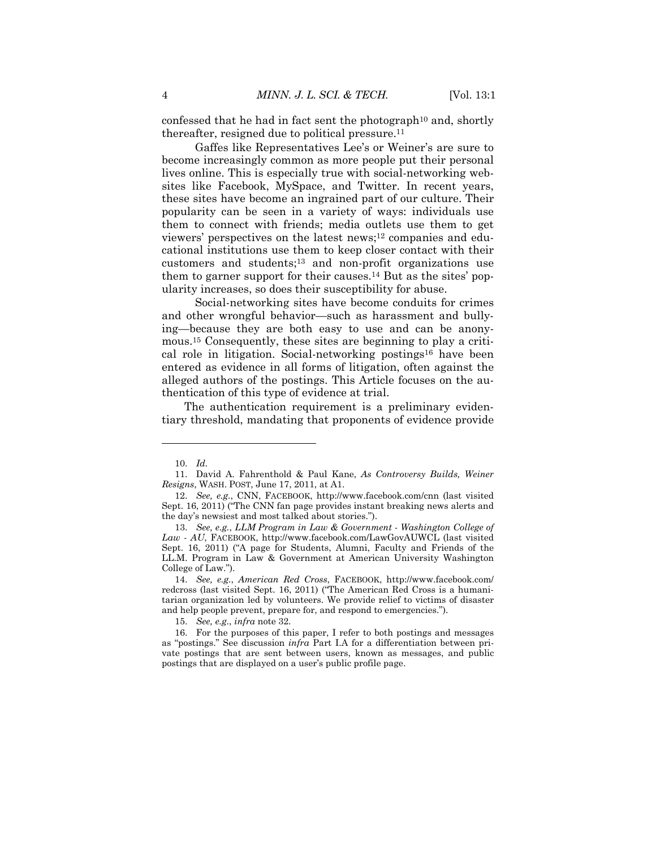confessed that he had in fact sent the photograph10 and, shortly thereafter, resigned due to political pressure.11

 Gaffes like Representatives Lee's or Weiner's are sure to become increasingly common as more people put their personal lives online. This is especially true with social-networking websites like Facebook, MySpace, and Twitter. In recent years, these sites have become an ingrained part of our culture. Their popularity can be seen in a variety of ways: individuals use them to connect with friends; media outlets use them to get viewers' perspectives on the latest news;12 companies and educational institutions use them to keep closer contact with their customers and students;13 and non-profit organizations use them to garner support for their causes.14 But as the sites' popularity increases, so does their susceptibility for abuse.

 Social-networking sites have become conduits for crimes and other wrongful behavior—such as harassment and bullying—because they are both easy to use and can be anonymous.15 Consequently, these sites are beginning to play a critical role in litigation. Social-networking postings<sup>16</sup> have been entered as evidence in all forms of litigation, often against the alleged authors of the postings. This Article focuses on the authentication of this type of evidence at trial.

The authentication requirement is a preliminary evidentiary threshold, mandating that proponents of evidence provide

<sup>10.</sup> *Id.*

 <sup>11.</sup> David A. Fahrenthold & Paul Kane, *As Controversy Builds, Weiner Resigns*, WASH. POST, June 17, 2011, at A1.

<sup>12.</sup> *See, e.g.*, CNN, FACEBOOK, http://www.facebook.com/cnn (last visited Sept. 16, 2011) ("The CNN fan page provides instant breaking news alerts and the day's newsiest and most talked about stories.").

<sup>13.</sup> *See, e.g.*, *LLM Program in Law & Government - Washington College of Law - AU*, FACEBOOK, http://www.facebook.com/LawGovAUWCL (last visited Sept. 16, 2011) ("A page for Students, Alumni, Faculty and Friends of the LL.M. Program in Law & Government at American University Washington College of Law.").

<sup>14.</sup> *See, e.g.*, *American Red Cross*, FACEBOOK, http://www.facebook.com/ redcross (last visited Sept. 16, 2011) ("The American Red Cross is a humanitarian organization led by volunteers. We provide relief to victims of disaster and help people prevent, prepare for, and respond to emergencies.").

<sup>15.</sup> *See, e.g.*, *infra* note 32.

 <sup>16.</sup> For the purposes of this paper, I refer to both postings and messages as "postings." See discussion *infra* Part I.A for a differentiation between private postings that are sent between users, known as messages, and public postings that are displayed on a user's public profile page.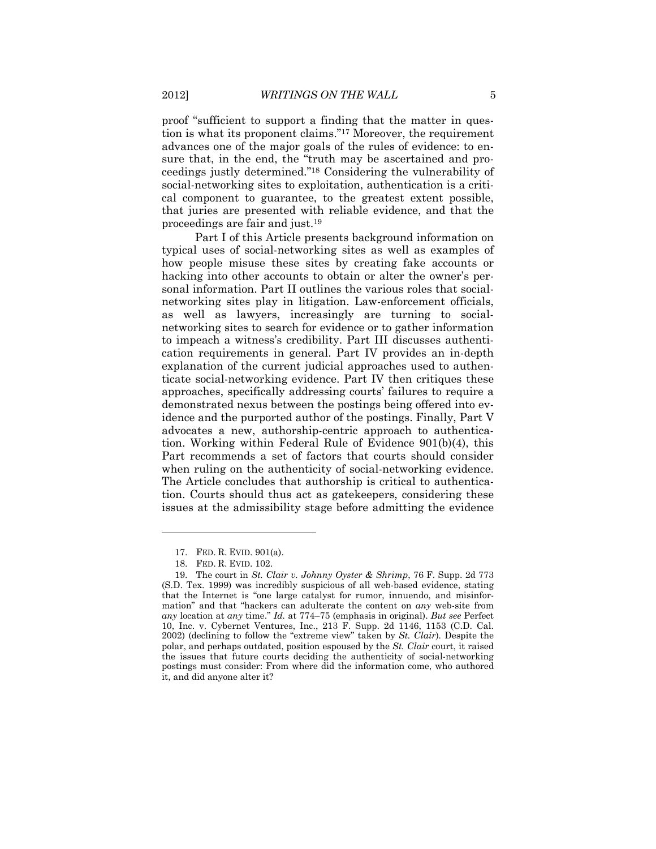proof "sufficient to support a finding that the matter in question is what its proponent claims."17 Moreover, the requirement advances one of the major goals of the rules of evidence: to ensure that, in the end, the "truth may be ascertained and proceedings justly determined."18 Considering the vulnerability of social-networking sites to exploitation, authentication is a critical component to guarantee, to the greatest extent possible, that juries are presented with reliable evidence, and that the proceedings are fair and just.19

 Part I of this Article presents background information on typical uses of social-networking sites as well as examples of how people misuse these sites by creating fake accounts or hacking into other accounts to obtain or alter the owner's personal information. Part II outlines the various roles that socialnetworking sites play in litigation. Law-enforcement officials, as well as lawyers, increasingly are turning to socialnetworking sites to search for evidence or to gather information to impeach a witness's credibility. Part III discusses authentication requirements in general. Part IV provides an in-depth explanation of the current judicial approaches used to authenticate social-networking evidence. Part IV then critiques these approaches, specifically addressing courts' failures to require a demonstrated nexus between the postings being offered into evidence and the purported author of the postings. Finally, Part V advocates a new, authorship-centric approach to authentication. Working within Federal Rule of Evidence 901(b)(4), this Part recommends a set of factors that courts should consider when ruling on the authenticity of social-networking evidence. The Article concludes that authorship is critical to authentication. Courts should thus act as gatekeepers, considering these issues at the admissibility stage before admitting the evidence

 <sup>17.</sup> FED. R. EVID. 901(a).

 <sup>18.</sup> FED. R. EVID. 102.

 <sup>19.</sup> The court in *St. Clair v. Johnny Oyster & Shrimp*, 76 F. Supp. 2d 773 (S.D. Tex. 1999) was incredibly suspicious of all web-based evidence, stating that the Internet is "one large catalyst for rumor, innuendo, and misinformation" and that "hackers can adulterate the content on *any* web-site from *any* location at *any* time." *Id.* at 774–75 (emphasis in original). *But see* Perfect 10, Inc. v. Cybernet Ventures, Inc., 213 F. Supp. 2d 1146, 1153 (C.D. Cal. 2002) (declining to follow the "extreme view" taken by *St. Clair*)*.* Despite the polar, and perhaps outdated, position espoused by the *St. Clair* court, it raised the issues that future courts deciding the authenticity of social-networking postings must consider: From where did the information come, who authored it, and did anyone alter it?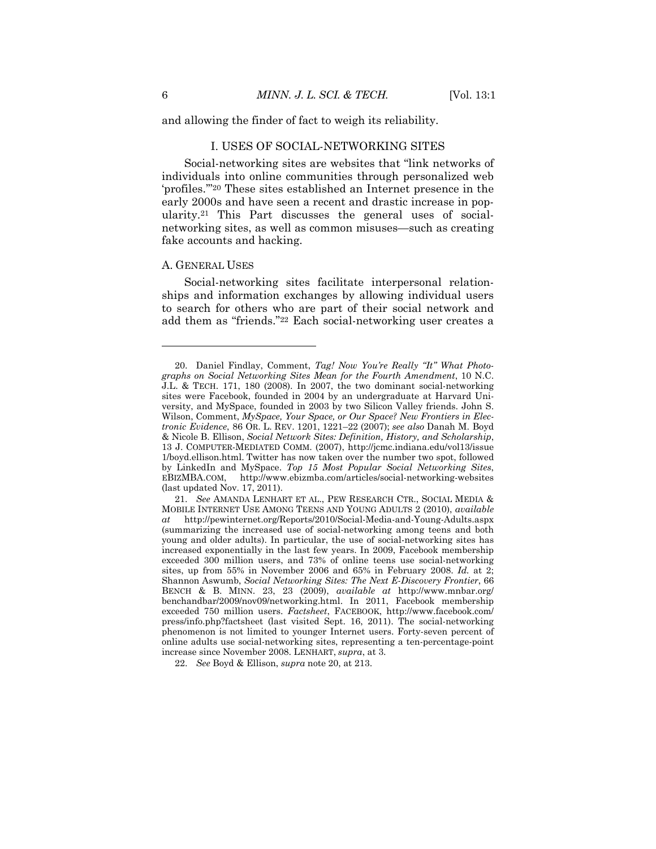and allowing the finder of fact to weigh its reliability.

#### I. USES OF SOCIAL-NETWORKING SITES

Social-networking sites are websites that "link networks of individuals into online communities through personalized web 'profiles.'"20 These sites established an Internet presence in the early 2000s and have seen a recent and drastic increase in popularity.21 This Part discusses the general uses of socialnetworking sites, as well as common misuses—such as creating fake accounts and hacking.

#### A. GENERAL USES

Social-networking sites facilitate interpersonal relationships and information exchanges by allowing individual users to search for others who are part of their social network and add them as "friends."22 Each social-networking user creates a

 <sup>20.</sup> Daniel Findlay, Comment, *Tag! Now You're Really "It" What Photographs on Social Networking Sites Mean for the Fourth Amendment*, 10 N.C. J.L. & TECH. 171, 180 (2008). In 2007, the two dominant social-networking sites were Facebook, founded in 2004 by an undergraduate at Harvard University, and MySpace, founded in 2003 by two Silicon Valley friends. John S. Wilson, Comment, *MySpace, Your Space, or Our Space? New Frontiers in Electronic Evidence*, 86 OR. L. REV. 1201, 1221–22 (2007); *see also* Danah M. Boyd & Nicole B. Ellison, *Social Network Sites: Definition, History, and Scholarship*, 13 J. COMPUTER-MEDIATED COMM. (2007), http://jcmc.indiana.edu/vol13/issue 1/boyd.ellison.html. Twitter has now taken over the number two spot, followed by LinkedIn and MySpace. *Top 15 Most Popular Social Networking Sites*, EBIZMBA.COM, http://www.ebizmba.com/articles/social-networking-websites (last updated Nov. 17, 2011).

<sup>21.</sup> *See* AMANDA LENHART ET AL., PEW RESEARCH CTR., SOCIAL MEDIA & MOBILE INTERNET USE AMONG TEENS AND YOUNG ADULTS 2 (2010), *available at* http://pewinternet.org/Reports/2010/Social-Media-and-Young-Adults.aspx (summarizing the increased use of social-networking among teens and both young and older adults). In particular, the use of social-networking sites has increased exponentially in the last few years. In 2009, Facebook membership exceeded 300 million users, and 73% of online teens use social-networking sites, up from 55% in November 2006 and 65% in February 2008. *Id.* at 2; Shannon Aswumb, *Social Networking Sites: The Next E-Discovery Frontier*, 66 BENCH & B. MINN. 23, 23 (2009), *available at* http://www.mnbar.org/ benchandbar/2009/nov09/networking.html. In 2011, Facebook membership exceeded 750 million users. *Factsheet*, FACEBOOK, http://www.facebook.com/ press/info.php?factsheet (last visited Sept. 16, 2011). The social-networking phenomenon is not limited to younger Internet users. Forty-seven percent of online adults use social-networking sites, representing a ten-percentage-point increase since November 2008. LENHART, *supra*, at 3.

<sup>22.</sup> *See* Boyd & Ellison, *supra* note 20, at 213.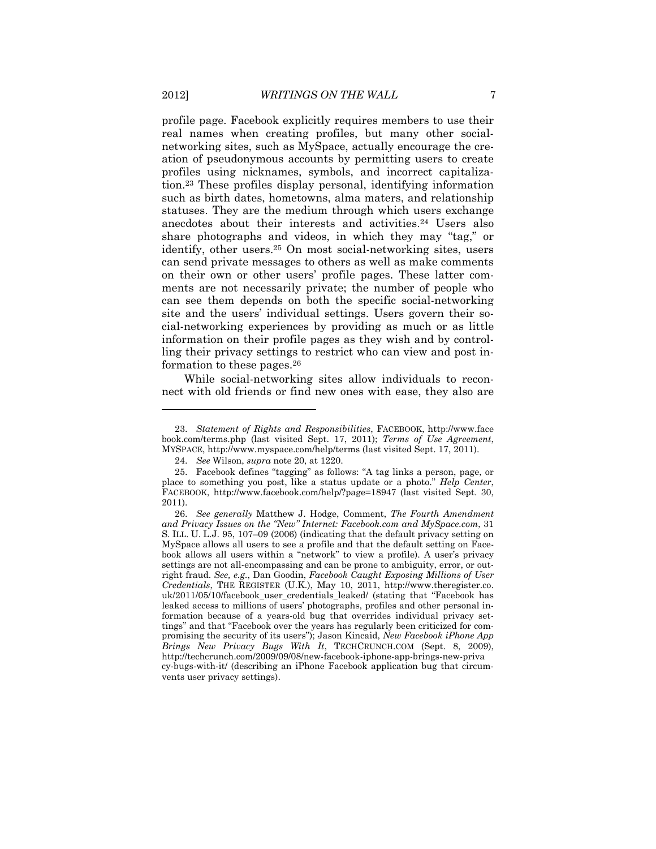profile page. Facebook explicitly requires members to use their real names when creating profiles, but many other socialnetworking sites, such as MySpace, actually encourage the creation of pseudonymous accounts by permitting users to create profiles using nicknames, symbols, and incorrect capitalization.23 These profiles display personal, identifying information such as birth dates, hometowns, alma maters, and relationship statuses. They are the medium through which users exchange anecdotes about their interests and activities.24 Users also share photographs and videos, in which they may "tag," or identify, other users.25 On most social-networking sites, users can send private messages to others as well as make comments on their own or other users' profile pages. These latter comments are not necessarily private; the number of people who can see them depends on both the specific social-networking site and the users' individual settings. Users govern their social-networking experiences by providing as much or as little information on their profile pages as they wish and by controlling their privacy settings to restrict who can view and post information to these pages.26

While social-networking sites allow individuals to reconnect with old friends or find new ones with ease, they also are

<sup>23.</sup> *Statement of Rights and Responsibilities*, FACEBOOK, http://www.face book.com/terms.php (last visited Sept. 17, 2011); *Terms of Use Agreement*, MYSPACE, http://www.myspace.com/help/terms (last visited Sept. 17, 2011).

<sup>24.</sup> *See* Wilson, *supra* note 20, at 1220.

 <sup>25.</sup> Facebook defines "tagging" as follows: "A tag links a person, page, or place to something you post, like a status update or a photo." *Help Center*, FACEBOOK, http://www.facebook.com/help/?page=18947 (last visited Sept. 30, 2011).

<sup>26.</sup> *See generally* Matthew J. Hodge, Comment, *The Fourth Amendment and Privacy Issues on the "New" Internet: Facebook.com and MySpace.com*, 31 S. ILL. U. L.J. 95, 107–09 (2006) (indicating that the default privacy setting on MySpace allows all users to see a profile and that the default setting on Facebook allows all users within a "network" to view a profile). A user's privacy settings are not all-encompassing and can be prone to ambiguity, error, or outright fraud. *See, e.g.*, Dan Goodin, *Facebook Caught Exposing Millions of User Credentials*, THE REGISTER (U.K.), May 10, 2011, http://www.theregister.co. uk/2011/05/10/facebook\_user\_credentials\_leaked/ (stating that "Facebook has leaked access to millions of users' photographs, profiles and other personal information because of a years-old bug that overrides individual privacy settings" and that "Facebook over the years has regularly been criticized for compromising the security of its users"); Jason Kincaid, *New Facebook iPhone App Brings New Privacy Bugs With It*, TECHCRUNCH.COM (Sept. 8, 2009), http://techcrunch.com/2009/09/08/new-facebook-iphone-app-brings-new-priva cy-bugs-with-it/ (describing an iPhone Facebook application bug that circumvents user privacy settings).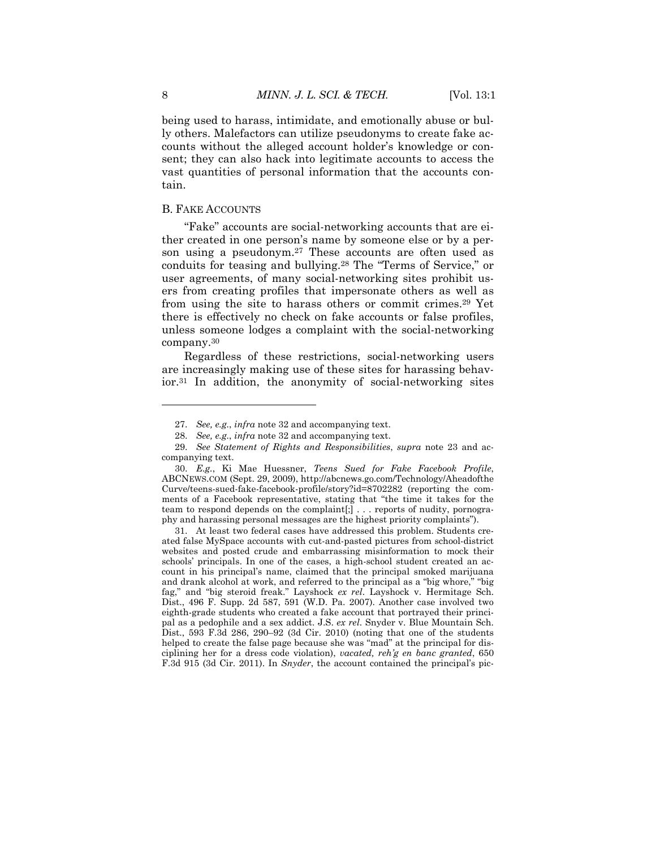being used to harass, intimidate, and emotionally abuse or bully others. Malefactors can utilize pseudonyms to create fake accounts without the alleged account holder's knowledge or consent; they can also hack into legitimate accounts to access the vast quantities of personal information that the accounts contain.

#### B. FAKE ACCOUNTS

"Fake" accounts are social-networking accounts that are either created in one person's name by someone else or by a person using a pseudonym.27 These accounts are often used as conduits for teasing and bullying.28 The "Terms of Service," or user agreements, of many social-networking sites prohibit users from creating profiles that impersonate others as well as from using the site to harass others or commit crimes.29 Yet there is effectively no check on fake accounts or false profiles, unless someone lodges a complaint with the social-networking company.30

Regardless of these restrictions, social-networking users are increasingly making use of these sites for harassing behavior.31 In addition, the anonymity of social-networking sites

 31. At least two federal cases have addressed this problem. Students created false MySpace accounts with cut-and-pasted pictures from school-district websites and posted crude and embarrassing misinformation to mock their schools' principals. In one of the cases, a high-school student created an account in his principal's name, claimed that the principal smoked marijuana and drank alcohol at work, and referred to the principal as a "big whore," "big fag," and "big steroid freak." Layshock *ex rel*. Layshock v. Hermitage Sch. Dist., 496 F. Supp. 2d 587, 591 (W.D. Pa. 2007). Another case involved two eighth-grade students who created a fake account that portrayed their principal as a pedophile and a sex addict. J.S. *ex rel*. Snyder v. Blue Mountain Sch. Dist., 593 F.3d 286, 290–92 (3d Cir. 2010) (noting that one of the students helped to create the false page because she was "mad" at the principal for disciplining her for a dress code violation), *vacated, reh'g en banc granted*, 650 F.3d 915 (3d Cir. 2011). In *Snyder*, the account contained the principal's pic-

<sup>27.</sup> *See, e.g.*, *infra* note 32 and accompanying text.

<sup>28.</sup> *See, e.g.*, *infra* note 32 and accompanying text.

<sup>29.</sup> *See Statement of Rights and Responsibilities*, *supra* note 23 and accompanying text.

<sup>30.</sup> *E.g.*, Ki Mae Huessner, *Teens Sued for Fake Facebook Profile*, ABCNEWS.COM (Sept. 29, 2009), http://abcnews.go.com/Technology/Aheadofthe Curve/teens-sued-fake-facebook-profile/story?id=8702282 (reporting the comments of a Facebook representative, stating that "the time it takes for the team to respond depends on the complaint[;] . . . reports of nudity, pornography and harassing personal messages are the highest priority complaints").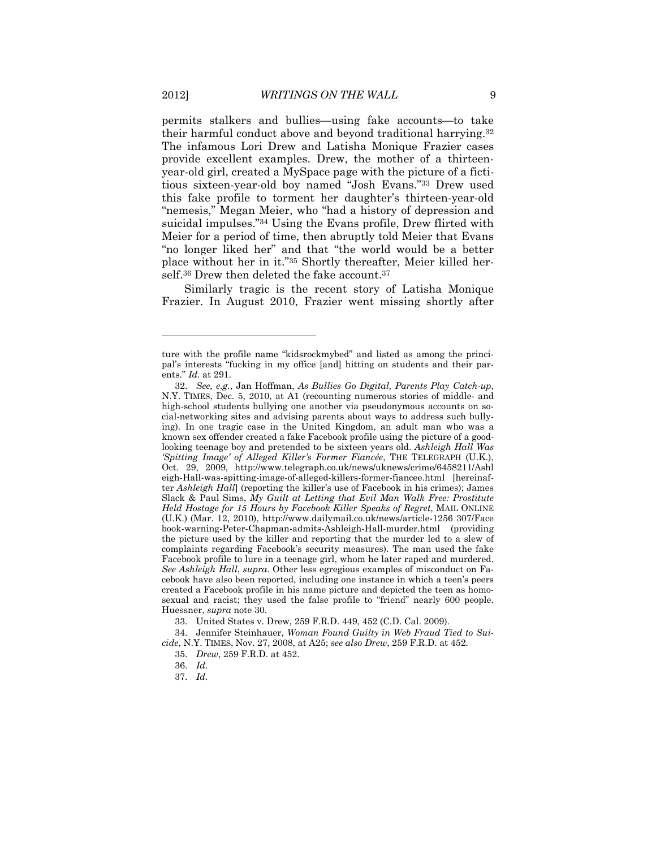permits stalkers and bullies—using fake accounts—to take their harmful conduct above and beyond traditional harrying.32 The infamous Lori Drew and Latisha Monique Frazier cases provide excellent examples. Drew, the mother of a thirteenyear-old girl, created a MySpace page with the picture of a fictitious sixteen-year-old boy named "Josh Evans."33 Drew used this fake profile to torment her daughter's thirteen-year-old "nemesis," Megan Meier, who "had a history of depression and suicidal impulses."34 Using the Evans profile, Drew flirted with Meier for a period of time, then abruptly told Meier that Evans "no longer liked her" and that "the world would be a better place without her in it."35 Shortly thereafter, Meier killed herself.36 Drew then deleted the fake account.37

Similarly tragic is the recent story of Latisha Monique Frazier. In August 2010, Frazier went missing shortly after

ture with the profile name "kidsrockmybed" and listed as among the principal's interests "fucking in my office [and] hitting on students and their parents." *Id.* at 291.

<sup>32.</sup> *See, e.g.*, Jan Hoffman, *As Bullies Go Digital, Parents Play Catch-up*, N.Y. TIMES, Dec. 5, 2010, at A1 (recounting numerous stories of middle- and high-school students bullying one another via pseudonymous accounts on social-networking sites and advising parents about ways to address such bullying). In one tragic case in the United Kingdom, an adult man who was a known sex offender created a fake Facebook profile using the picture of a goodlooking teenage boy and pretended to be sixteen years old. *Ashleigh Hall Was 'Spitting Image' of Alleged Killer's Former Fiancée*, THE TELEGRAPH (U.K.), Oct. 29, 2009, http://www.telegraph.co.uk/news/uknews/crime/6458211/Ashl eigh-Hall-was-spitting-image-of-alleged-killers-former-fiancee.html [hereinafter *Ashleigh Hall*] (reporting the killer's use of Facebook in his crimes); James Slack & Paul Sims, *My Guilt at Letting that Evil Man Walk Free: Prostitute Held Hostage for 15 Hours by Facebook Killer Speaks of Regret*, MAIL ONLINE (U.K.) (Mar. 12, 2010), http://www.dailymail.co.uk/news/article-1256 307/Face book-warning-Peter-Chapman-admits-Ashleigh-Hall-murder.html (providing the picture used by the killer and reporting that the murder led to a slew of complaints regarding Facebook's security measures). The man used the fake Facebook profile to lure in a teenage girl, whom he later raped and murdered. *See Ashleigh Hall*, *supra*. Other less egregious examples of misconduct on Facebook have also been reported, including one instance in which a teen's peers created a Facebook profile in his name picture and depicted the teen as homosexual and racist; they used the false profile to "friend" nearly 600 people. Huessner, *supra* note 30.

 <sup>33.</sup> United States v. Drew, 259 F.R.D. 449, 452 (C.D. Cal. 2009).

 <sup>34.</sup> Jennifer Steinhauer, *Woman Found Guilty in Web Fraud Tied to Suicide*, N.Y. TIMES, Nov. 27, 2008, at A25; *see also Drew*, 259 F.R.D. at 452*.* 

<sup>35.</sup> *Drew*, 259 F.R.D. at 452.

<sup>36.</sup> *Id.*

<sup>37.</sup> *Id.*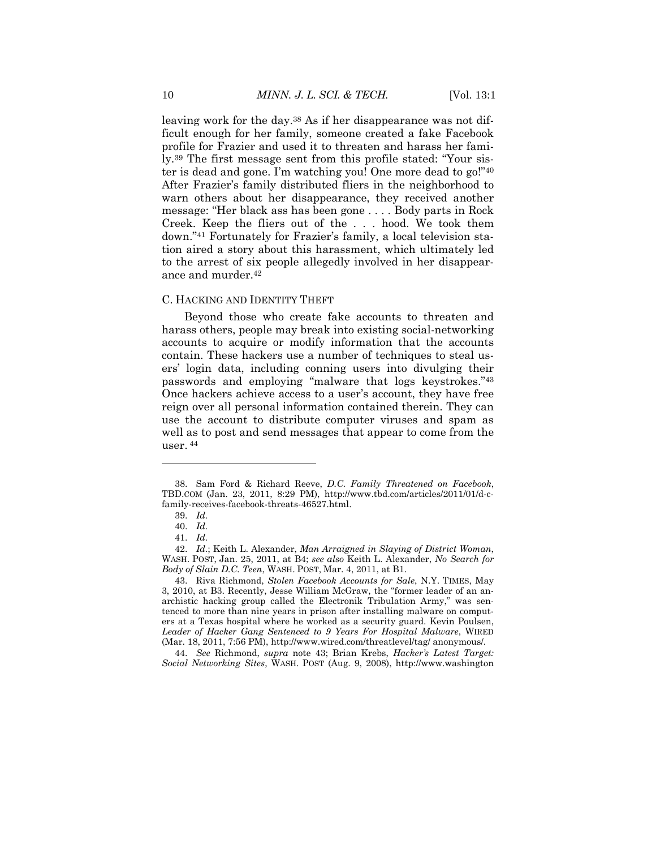leaving work for the day.38 As if her disappearance was not difficult enough for her family, someone created a fake Facebook profile for Frazier and used it to threaten and harass her family.39 The first message sent from this profile stated: "Your sister is dead and gone. I'm watching you! One more dead to go!"40 After Frazier's family distributed fliers in the neighborhood to warn others about her disappearance, they received another message: "Her black ass has been gone . . . . Body parts in Rock Creek. Keep the fliers out of the . . . hood. We took them down."41 Fortunately for Frazier's family, a local television station aired a story about this harassment, which ultimately led to the arrest of six people allegedly involved in her disappearance and murder.42

#### C. HACKING AND IDENTITY THEFT

Beyond those who create fake accounts to threaten and harass others, people may break into existing social-networking accounts to acquire or modify information that the accounts contain. These hackers use a number of techniques to steal users' login data, including conning users into divulging their passwords and employing "malware that logs keystrokes."43 Once hackers achieve access to a user's account, they have free reign over all personal information contained therein. They can use the account to distribute computer viruses and spam as well as to post and send messages that appear to come from the user. 44

 <sup>38.</sup> Sam Ford & Richard Reeve, *D.C. Family Threatened on Facebook*, TBD.COM (Jan. 23, 2011, 8:29 PM), http://www.tbd.com/articles/2011/01/d-cfamily-receives-facebook-threats-46527.html.

<sup>39.</sup> *Id.*

<sup>40.</sup> *Id.*

<sup>41.</sup> *Id.*

<sup>42.</sup> *Id.*; Keith L. Alexander, *Man Arraigned in Slaying of District Woman*, WASH. POST, Jan. 25, 2011, at B4; *see also* Keith L. Alexander, *No Search for Body of Slain D.C. Teen*, WASH. POST, Mar. 4, 2011, at B1.

 <sup>43.</sup> Riva Richmond, *Stolen Facebook Accounts for Sale*, N.Y. TIMES, May 3, 2010, at B3. Recently, Jesse William McGraw, the "former leader of an anarchistic hacking group called the Electronik Tribulation Army," was sentenced to more than nine years in prison after installing malware on computers at a Texas hospital where he worked as a security guard. Kevin Poulsen, *Leader of Hacker Gang Sentenced to 9 Years For Hospital Malware*, WIRED (Mar. 18, 2011, 7:56 PM), http://www.wired.com/threatlevel/tag/ anonymous/.

<sup>44.</sup> *See* Richmond, *supra* note 43; Brian Krebs, *Hacker's Latest Target: Social Networking Sites*, WASH. POST (Aug. 9, 2008), http://www.washington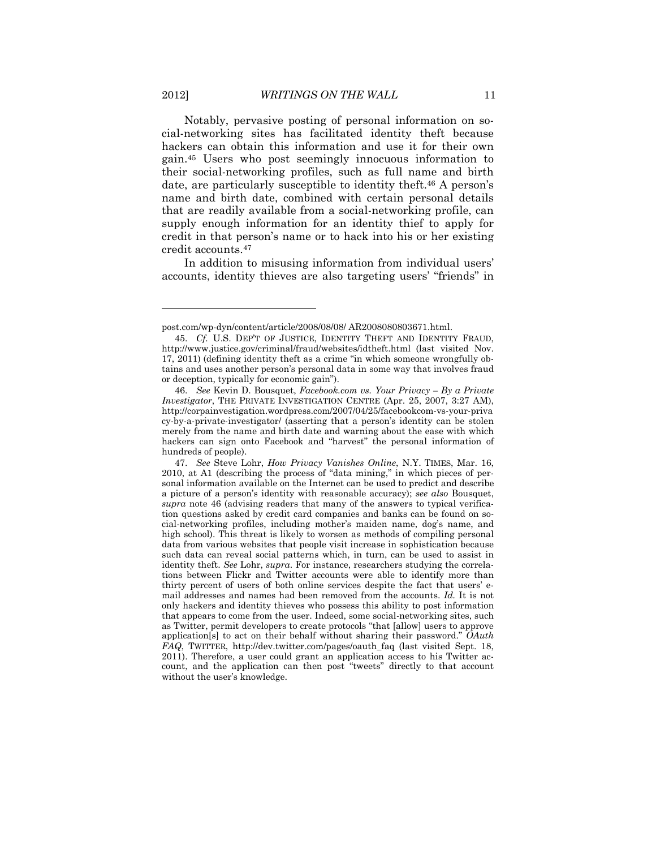Notably, pervasive posting of personal information on social-networking sites has facilitated identity theft because hackers can obtain this information and use it for their own gain.45 Users who post seemingly innocuous information to their social-networking profiles, such as full name and birth date, are particularly susceptible to identity theft.46 A person's name and birth date, combined with certain personal details that are readily available from a social-networking profile, can supply enough information for an identity thief to apply for credit in that person's name or to hack into his or her existing credit accounts.47

In addition to misusing information from individual users' accounts, identity thieves are also targeting users' "friends" in

post.com/wp-dyn/content/article/2008/08/08/ AR2008080803671.html.

<sup>45.</sup> *Cf.* U.S. DEP'T OF JUSTICE, IDENTITY THEFT AND IDENTITY FRAUD, http://www.justice.gov/criminal/fraud/websites/idtheft.html (last visited Nov. 17, 2011) (defining identity theft as a crime "in which someone wrongfully obtains and uses another person's personal data in some way that involves fraud or deception, typically for economic gain").

<sup>46.</sup> *See* Kevin D. Bousquet, *Facebook.com vs. Your Privacy – By a Private Investigator*, THE PRIVATE INVESTIGATION CENTRE (Apr. 25, 2007, 3:27 AM), http://corpainvestigation.wordpress.com/2007/04/25/facebookcom-vs-your-priva cy-by-a-private-investigator/ (asserting that a person's identity can be stolen merely from the name and birth date and warning about the ease with which hackers can sign onto Facebook and "harvest" the personal information of hundreds of people).

<sup>47.</sup> *See* Steve Lohr, *How Privacy Vanishes Online*, N.Y. TIMES, Mar. 16, 2010, at A1 (describing the process of "data mining," in which pieces of personal information available on the Internet can be used to predict and describe a picture of a person's identity with reasonable accuracy); *see also* Bousquet, *supra* note 46 (advising readers that many of the answers to typical verification questions asked by credit card companies and banks can be found on social-networking profiles, including mother's maiden name, dog's name, and high school). This threat is likely to worsen as methods of compiling personal data from various websites that people visit increase in sophistication because such data can reveal social patterns which, in turn, can be used to assist in identity theft. *See* Lohr, *supra*. For instance, researchers studying the correlations between Flickr and Twitter accounts were able to identify more than thirty percent of users of both online services despite the fact that users' email addresses and names had been removed from the accounts. *Id.* It is not only hackers and identity thieves who possess this ability to post information that appears to come from the user. Indeed, some social-networking sites, such as Twitter, permit developers to create protocols "that [allow] users to approve application[s] to act on their behalf without sharing their password." *OAuth FAQ*, TWITTER, http://dev.twitter.com/pages/oauth\_faq (last visited Sept. 18, 2011). Therefore, a user could grant an application access to his Twitter account, and the application can then post "tweets" directly to that account without the user's knowledge.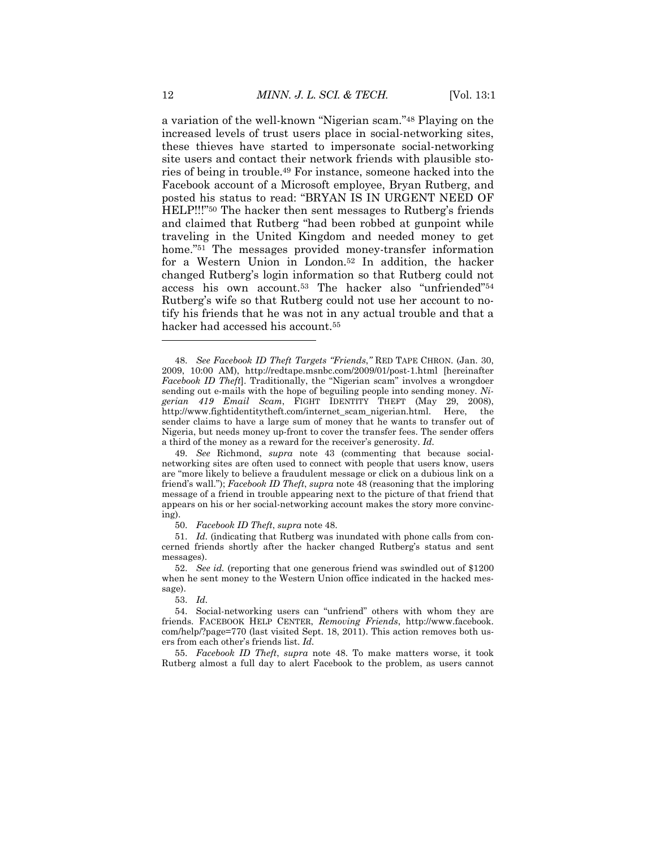a variation of the well-known "Nigerian scam."48 Playing on the increased levels of trust users place in social-networking sites, these thieves have started to impersonate social-networking site users and contact their network friends with plausible stories of being in trouble.49 For instance, someone hacked into the Facebook account of a Microsoft employee, Bryan Rutberg, and posted his status to read: "BRYAN IS IN URGENT NEED OF HELP!!!"50 The hacker then sent messages to Rutberg's friends and claimed that Rutberg "had been robbed at gunpoint while traveling in the United Kingdom and needed money to get home."51 The messages provided money-transfer information for a Western Union in London.52 In addition, the hacker changed Rutberg's login information so that Rutberg could not access his own account.53 The hacker also "unfriended"54 Rutberg's wife so that Rutberg could not use her account to notify his friends that he was not in any actual trouble and that a hacker had accessed his account.55

49. *See* Richmond, *supra* note 43 (commenting that because socialnetworking sites are often used to connect with people that users know, users are "more likely to believe a fraudulent message or click on a dubious link on a friend's wall."); *Facebook ID Theft*, *supra* note 48 (reasoning that the imploring message of a friend in trouble appearing next to the picture of that friend that appears on his or her social-networking account makes the story more convincing).

50. *Facebook ID Theft*, *supra* note 48.

51. *Id.* (indicating that Rutberg was inundated with phone calls from concerned friends shortly after the hacker changed Rutberg's status and sent messages).

52. *See id.* (reporting that one generous friend was swindled out of \$1200 when he sent money to the Western Union office indicated in the hacked message).

 54. Social-networking users can "unfriend" others with whom they are friends. FACEBOOK HELP CENTER, *Removing Friends*, http://www.facebook. com/help/?page=770 (last visited Sept. 18, 2011). This action removes both users from each other's friends list. *Id.*

55. *Facebook ID Theft*, *supra* note 48. To make matters worse, it took Rutberg almost a full day to alert Facebook to the problem, as users cannot

<sup>48.</sup> *See Facebook ID Theft Targets "Friends*,*"* RED TAPE CHRON. (Jan. 30, 2009, 10:00 AM), http://redtape.msnbc.com/2009/01/post-1.html [hereinafter *Facebook ID Theft*]. Traditionally, the "Nigerian scam" involves a wrongdoer sending out e-mails with the hope of beguiling people into sending money. *Nigerian 419 Email Scam*, FIGHT IDENTITY THEFT (May 29, 2008), http://www.fightidentitytheft.com/internet\_scam\_nigerian.html. Here, the sender claims to have a large sum of money that he wants to transfer out of Nigeria, but needs money up-front to cover the transfer fees. The sender offers a third of the money as a reward for the receiver's generosity. *Id.*

<sup>53.</sup> *Id.*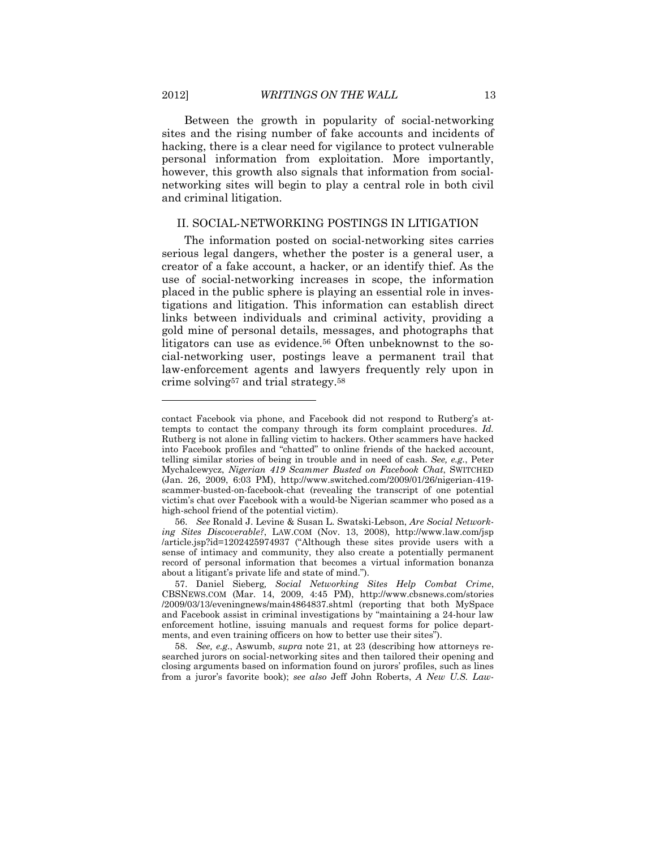Between the growth in popularity of social-networking sites and the rising number of fake accounts and incidents of hacking, there is a clear need for vigilance to protect vulnerable personal information from exploitation. More importantly, however, this growth also signals that information from socialnetworking sites will begin to play a central role in both civil and criminal litigation.

# II. SOCIAL-NETWORKING POSTINGS IN LITIGATION

The information posted on social-networking sites carries serious legal dangers, whether the poster is a general user, a creator of a fake account, a hacker, or an identify thief. As the use of social-networking increases in scope, the information placed in the public sphere is playing an essential role in investigations and litigation. This information can establish direct links between individuals and criminal activity, providing a gold mine of personal details, messages, and photographs that litigators can use as evidence.<sup>56</sup> Often unbeknownst to the social-networking user, postings leave a permanent trail that law-enforcement agents and lawyers frequently rely upon in crime solving57 and trial strategy.58

contact Facebook via phone, and Facebook did not respond to Rutberg's attempts to contact the company through its form complaint procedures. *Id.*  Rutberg is not alone in falling victim to hackers. Other scammers have hacked into Facebook profiles and "chatted" to online friends of the hacked account, telling similar stories of being in trouble and in need of cash. *See, e.g.*, Peter Mychalcewycz, *Nigerian 419 Scammer Busted on Facebook Chat*, SWITCHED (Jan. 26, 2009, 6:03 PM), http://www.switched.com/2009/01/26/nigerian-419 scammer-busted-on-facebook-chat (revealing the transcript of one potential victim's chat over Facebook with a would-be Nigerian scammer who posed as a high-school friend of the potential victim).

<sup>56.</sup> *See* Ronald J. Levine & Susan L. Swatski-Lebson, *Are Social Networking Sites Discoverable?*, LAW.COM (Nov. 13, 2008), http://www.law.com/jsp /article.jsp?id=1202425974937 ("Although these sites provide users with a sense of intimacy and community, they also create a potentially permanent record of personal information that becomes a virtual information bonanza about a litigant's private life and state of mind.").

 <sup>57.</sup> Daniel Sieberg*, Social Networking Sites Help Combat Crime*, CBSNEWS.COM (Mar. 14, 2009, 4:45 PM), http://www.cbsnews.com/stories /2009/03/13/eveningnews/main4864837.shtml (reporting that both MySpace and Facebook assist in criminal investigations by "maintaining a 24-hour law enforcement hotline, issuing manuals and request forms for police departments, and even training officers on how to better use their sites").

<sup>58.</sup> *See, e.g.*, Aswumb, *supra* note 21, at 23 (describing how attorneys researched jurors on social-networking sites and then tailored their opening and closing arguments based on information found on jurors' profiles, such as lines from a juror's favorite book); *see also* Jeff John Roberts, *A New U.S. Law-*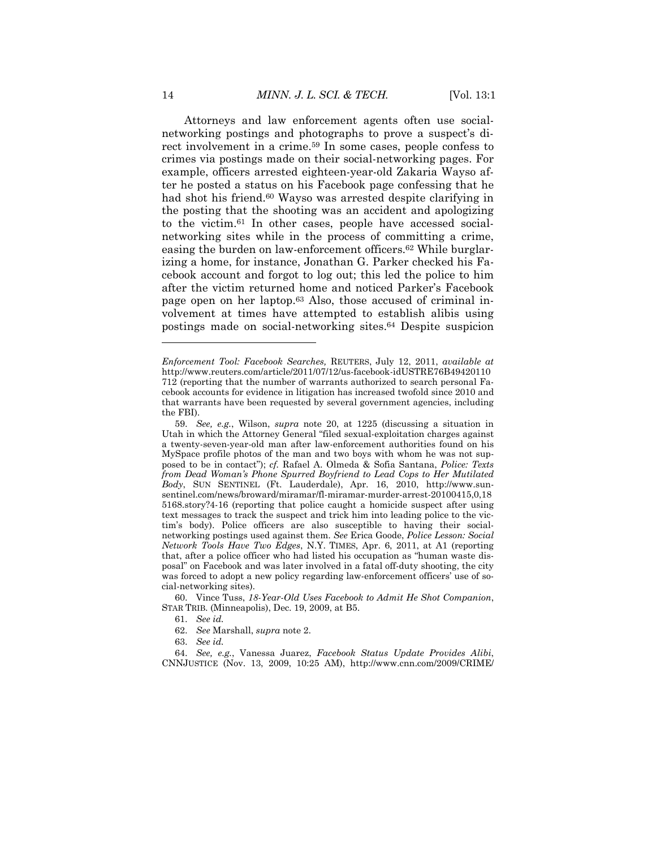Attorneys and law enforcement agents often use socialnetworking postings and photographs to prove a suspect's direct involvement in a crime.59 In some cases, people confess to crimes via postings made on their social-networking pages. For example, officers arrested eighteen-year-old Zakaria Wayso after he posted a status on his Facebook page confessing that he had shot his friend.<sup>60</sup> Wayso was arrested despite clarifying in the posting that the shooting was an accident and apologizing to the victim.61 In other cases, people have accessed socialnetworking sites while in the process of committing a crime, easing the burden on law-enforcement officers.62 While burglarizing a home, for instance, Jonathan G. Parker checked his Facebook account and forgot to log out; this led the police to him after the victim returned home and noticed Parker's Facebook page open on her laptop.63 Also, those accused of criminal involvement at times have attempted to establish alibis using postings made on social-networking sites.64 Despite suspicion

 60. Vince Tuss, *18-Year-Old Uses Facebook to Admit He Shot Companion*, STAR TRIB. (Minneapolis), Dec. 19, 2009, at B5.

*Enforcement Tool: Facebook Searches,* REUTERS, July 12, 2011, *available at*  http://www.reuters.com/article/2011/07/12/us-facebook-idUSTRE76B49420110 712 (reporting that the number of warrants authorized to search personal Facebook accounts for evidence in litigation has increased twofold since 2010 and that warrants have been requested by several government agencies, including the FBI).

<sup>59.</sup> *See, e.g.*, Wilson, *supra* note 20, at 1225 (discussing a situation in Utah in which the Attorney General "filed sexual-exploitation charges against a twenty-seven-year-old man after law-enforcement authorities found on his MySpace profile photos of the man and two boys with whom he was not supposed to be in contact"); *cf.* Rafael A. Olmeda & Sofia Santana, *Police: Texts from Dead Woman's Phone Spurred Boyfriend to Lead Cops to Her Mutilated Body*, SUN SENTINEL (Ft. Lauderdale), Apr. 16, 2010, http://www.sunsentinel.com/news/broward/miramar/fl-miramar-murder-arrest-20100415,0,18 5168.story?4-16 (reporting that police caught a homicide suspect after using text messages to track the suspect and trick him into leading police to the victim's body). Police officers are also susceptible to having their socialnetworking postings used against them. *See* Erica Goode, *Police Lesson: Social Network Tools Have Two Edges*, N.Y. TIMES, Apr. 6, 2011, at A1 (reporting that, after a police officer who had listed his occupation as "human waste disposal" on Facebook and was later involved in a fatal off-duty shooting, the city was forced to adopt a new policy regarding law-enforcement officers' use of social-networking sites).

<sup>61.</sup> *See id.*

<sup>62.</sup> *See* Marshall, *supra* note 2.

<sup>63.</sup> *See id.*

<sup>64.</sup> *See, e.g.*, Vanessa Juarez, *Facebook Status Update Provides Alibi*, CNNJUSTICE (Nov. 13, 2009, 10:25 AM), http://www.cnn.com/2009/CRIME/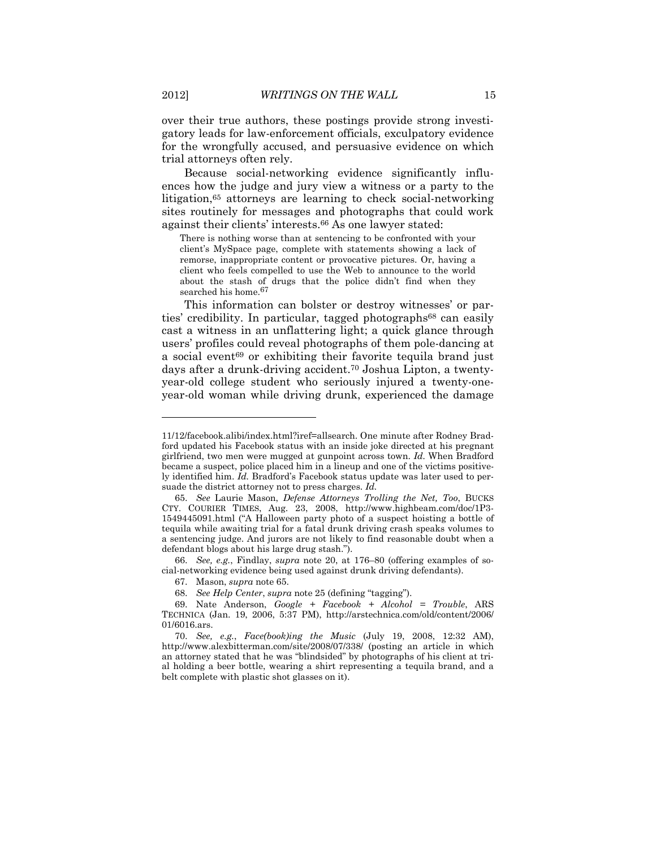over their true authors, these postings provide strong investigatory leads for law-enforcement officials, exculpatory evidence for the wrongfully accused, and persuasive evidence on which trial attorneys often rely.

Because social-networking evidence significantly influences how the judge and jury view a witness or a party to the litigation,65 attorneys are learning to check social-networking sites routinely for messages and photographs that could work against their clients' interests.66 As one lawyer stated:

There is nothing worse than at sentencing to be confronted with your client's MySpace page, complete with statements showing a lack of remorse, inappropriate content or provocative pictures. Or, having a client who feels compelled to use the Web to announce to the world about the stash of drugs that the police didn't find when they searched his home.67

This information can bolster or destroy witnesses' or parties' credibility. In particular, tagged photographs<sup>68</sup> can easily cast a witness in an unflattering light; a quick glance through users' profiles could reveal photographs of them pole-dancing at a social event<sup>69</sup> or exhibiting their favorite tequila brand just days after a drunk-driving accident.70 Joshua Lipton, a twentyyear-old college student who seriously injured a twenty-oneyear-old woman while driving drunk, experienced the damage

66. *See, e.g.*, Findlay, *supra* note 20, at 176–80 (offering examples of social-networking evidence being used against drunk driving defendants).

<sup>11/12/</sup>facebook.alibi/index.html?iref=allsearch. One minute after Rodney Bradford updated his Facebook status with an inside joke directed at his pregnant girlfriend, two men were mugged at gunpoint across town. *Id.* When Bradford became a suspect, police placed him in a lineup and one of the victims positively identified him. *Id.* Bradford's Facebook status update was later used to persuade the district attorney not to press charges. *Id.* 

<sup>65.</sup> *See* Laurie Mason, *Defense Attorneys Trolling the Net, Too*, BUCKS CTY. COURIER TIMES, Aug. 23, 2008, http://www.highbeam.com/doc/1P3- 1549445091.html ("A Halloween party photo of a suspect hoisting a bottle of tequila while awaiting trial for a fatal drunk driving crash speaks volumes to a sentencing judge. And jurors are not likely to find reasonable doubt when a defendant blogs about his large drug stash.").

 <sup>67.</sup> Mason, *supra* note 65.

<sup>68.</sup> *See Help Center*, *supra* note 25 (defining "tagging").

 <sup>69.</sup> Nate Anderson, *Google + Facebook + Alcohol = Trouble*, ARS TECHNICA (Jan. 19, 2006, 5:37 PM), http://arstechnica.com/old/content/2006/ 01/6016.ars.

<sup>70.</sup> *See, e.g.*, *Face(book)ing the Music* (July 19, 2008, 12:32 AM), http://www.alexbitterman.com/site/2008/07/338/ (posting an article in which an attorney stated that he was "blindsided" by photographs of his client at trial holding a beer bottle, wearing a shirt representing a tequila brand, and a belt complete with plastic shot glasses on it).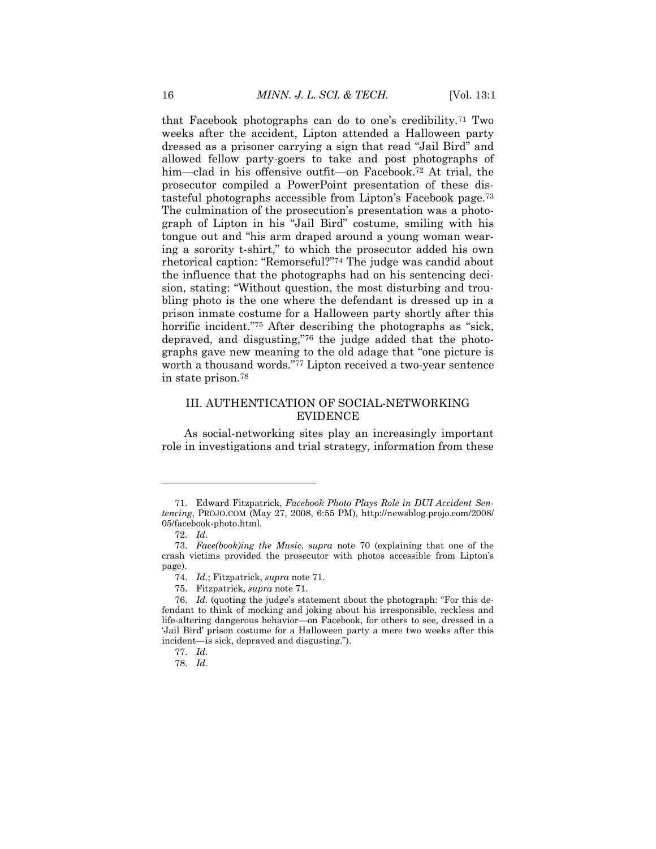that Facebook photographs can do to one's credibility.71 Two weeks after the accident, Lipton attended a Halloween party dressed as a prisoner carrying a sign that read "Jail Bird" and allowed fellow party-goers to take and post photographs of him—clad in his offensive outfit—on Facebook.72 At trial, the prosecutor compiled a PowerPoint presentation of these distasteful photographs accessible from Lipton's Facebook page.73 The culmination of the prosecution's presentation was a photograph of Lipton in his "Jail Bird" costume, smiling with his tongue out and "his arm draped around a young woman wearing a sorority t-shirt," to which the prosecutor added his own rhetorical caption: "Remorseful?"74 The judge was candid about the influence that the photographs had on his sentencing decision, stating: "Without question, the most disturbing and troubling photo is the one where the defendant is dressed up in a prison inmate costume for a Halloween party shortly after this horrific incident."<sup>75</sup> After describing the photographs as "sick, depraved, and disgusting,"76 the judge added that the photographs gave new meaning to the old adage that "one picture is worth a thousand words."77 Lipton received a two-year sentence in state prison.78

# III. AUTHENTICATION OF SOCIAL-NETWORKING EVIDENCE

As social-networking sites play an increasingly important role in investigations and trial strategy, information from these

 <sup>71.</sup> Edward Fitzpatrick, *Facebook Photo Plays Role in DUI Accident Sentencing*, PROJO.COM (May 27, 2008, 6:55 PM), http://newsblog.projo.com/2008/ 05/facebook-photo.html.

<sup>72.</sup> *Id*.

<sup>73.</sup> *Face(book)ing the Music*, *supra* note 70 (explaining that one of the crash victims provided the prosecutor with photos accessible from Lipton's page).

<sup>74.</sup> *Id.*; Fitzpatrick, *supra* note 71.

 <sup>75.</sup> Fitzpatrick, *supra* note 71.

<sup>76.</sup> *Id.* (quoting the judge's statement about the photograph: "For this defendant to think of mocking and joking about his irresponsible, reckless and life-altering dangerous behavior—on Facebook, for others to see, dressed in a 'Jail Bird' prison costume for a Halloween party a mere two weeks after this incident—is sick, depraved and disgusting.").

<sup>77.</sup> *Id.*

<sup>78.</sup> *Id.*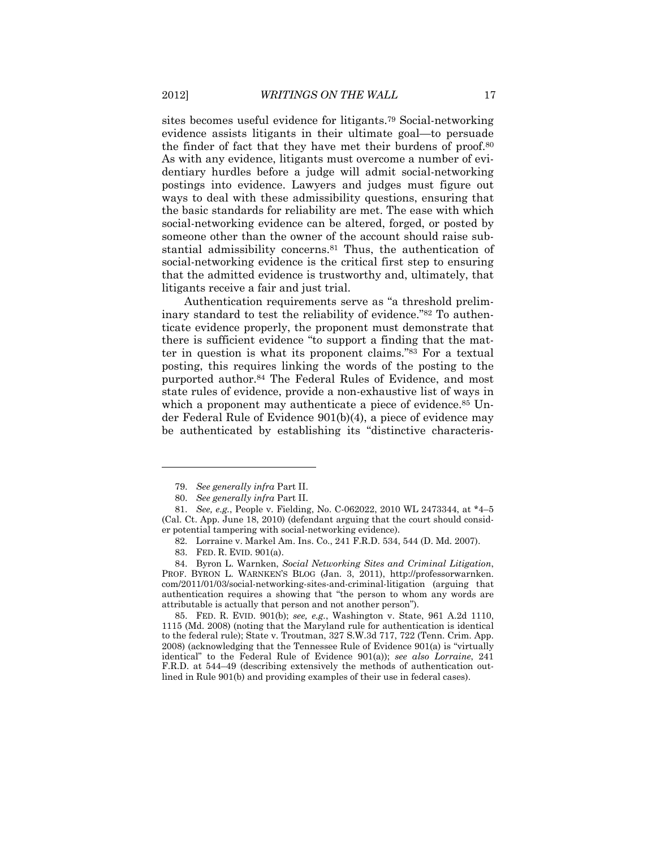sites becomes useful evidence for litigants.79 Social-networking evidence assists litigants in their ultimate goal—to persuade the finder of fact that they have met their burdens of proof.80 As with any evidence, litigants must overcome a number of evidentiary hurdles before a judge will admit social-networking postings into evidence. Lawyers and judges must figure out ways to deal with these admissibility questions, ensuring that the basic standards for reliability are met. The ease with which social-networking evidence can be altered, forged, or posted by someone other than the owner of the account should raise substantial admissibility concerns.81 Thus, the authentication of social-networking evidence is the critical first step to ensuring that the admitted evidence is trustworthy and, ultimately, that litigants receive a fair and just trial.

Authentication requirements serve as "a threshold preliminary standard to test the reliability of evidence."82 To authenticate evidence properly, the proponent must demonstrate that there is sufficient evidence "to support a finding that the matter in question is what its proponent claims."83 For a textual posting, this requires linking the words of the posting to the purported author.84 The Federal Rules of Evidence, and most state rules of evidence, provide a non-exhaustive list of ways in which a proponent may authenticate a piece of evidence.<sup>85</sup> Under Federal Rule of Evidence 901(b)(4), a piece of evidence may be authenticated by establishing its "distinctive characteris-

l

 85. FED. R. EVID. 901(b); *see, e.g.*, Washington v. State, 961 A.2d 1110, 1115 (Md. 2008) (noting that the Maryland rule for authentication is identical to the federal rule); State v. Troutman, 327 S.W.3d 717, 722 (Tenn. Crim. App. 2008) (acknowledging that the Tennessee Rule of Evidence 901(a) is "virtually identical" to the Federal Rule of Evidence 901(a)); *see also Lorraine*, 241 F.R.D. at 544–49 (describing extensively the methods of authentication outlined in Rule 901(b) and providing examples of their use in federal cases).

<sup>79.</sup> *See generally infra* Part II.

<sup>80.</sup> *See generally infra* Part II.

<sup>81.</sup> *See, e.g.*, People v. Fielding, No. C-062022, 2010 WL 2473344, at \*4–5 (Cal. Ct. App. June 18, 2010) (defendant arguing that the court should consider potential tampering with social-networking evidence).

 <sup>82.</sup> Lorraine v. Markel Am. Ins. Co., 241 F.R.D. 534, 544 (D. Md. 2007).

 <sup>83.</sup> FED. R. EVID. 901(a).

 <sup>84.</sup> Byron L. Warnken, *Social Networking Sites and Criminal Litigation*, PROF. BYRON L. WARNKEN'S BLOG (Jan. 3, 2011), http://professorwarnken. com/2011/01/03/social-networking-sites-and-criminal-litigation (arguing that authentication requires a showing that "the person to whom any words are attributable is actually that person and not another person").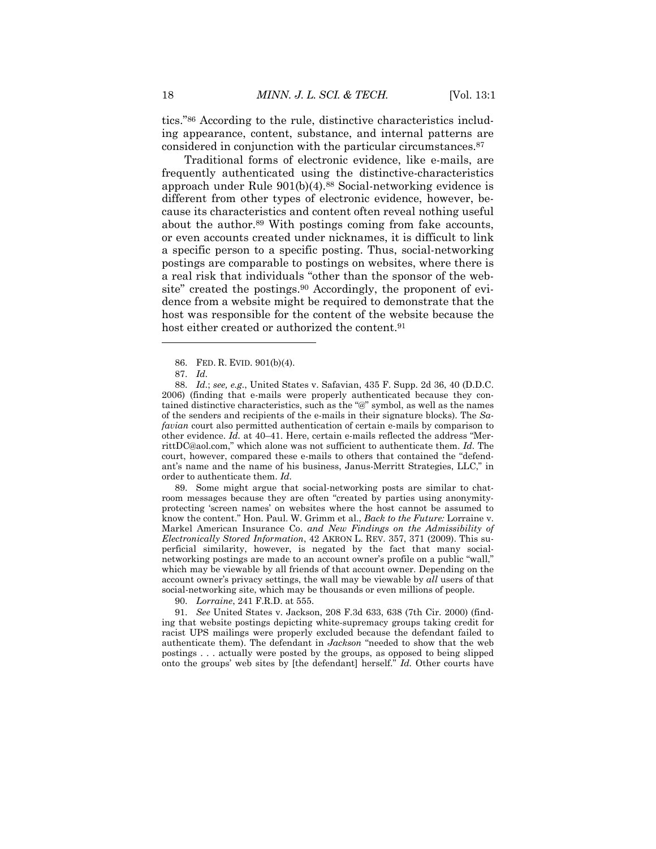tics."86 According to the rule, distinctive characteristics including appearance, content, substance, and internal patterns are considered in conjunction with the particular circumstances.87

Traditional forms of electronic evidence, like e-mails, are frequently authenticated using the distinctive-characteristics approach under Rule 901(b)(4).88 Social-networking evidence is different from other types of electronic evidence, however, because its characteristics and content often reveal nothing useful about the author.89 With postings coming from fake accounts, or even accounts created under nicknames, it is difficult to link a specific person to a specific posting. Thus, social-networking postings are comparable to postings on websites, where there is a real risk that individuals "other than the sponsor of the website" created the postings.<sup>90</sup> Accordingly, the proponent of evidence from a website might be required to demonstrate that the host was responsible for the content of the website because the host either created or authorized the content.<sup>91</sup>

l

 89. Some might argue that social-networking posts are similar to chatroom messages because they are often "created by parties using anonymityprotecting 'screen names' on websites where the host cannot be assumed to know the content." Hon. Paul. W. Grimm et al., *Back to the Future:* Lorraine v. Markel American Insurance Co. *and New Findings on the Admissibility of Electronically Stored Information*, 42 AKRON L. REV. 357, 371 (2009). This superficial similarity, however, is negated by the fact that many socialnetworking postings are made to an account owner's profile on a public "wall," which may be viewable by all friends of that account owner. Depending on the account owner's privacy settings, the wall may be viewable by *all* users of that social-networking site, which may be thousands or even millions of people.

90. *Lorraine*, 241 F.R.D. at 555.

91. *See* United States v. Jackson, 208 F.3d 633, 638 (7th Cir. 2000) (finding that website postings depicting white-supremacy groups taking credit for racist UPS mailings were properly excluded because the defendant failed to authenticate them). The defendant in *Jackson* "needed to show that the web postings . . . actually were posted by the groups, as opposed to being slipped onto the groups' web sites by [the defendant] herself." *Id.* Other courts have

 <sup>86.</sup> FED. R. EVID. 901(b)(4).

<sup>87.</sup> *Id.*

<sup>88.</sup> *Id.*; *see, e.g.*, United States v. Safavian, 435 F. Supp. 2d 36, 40 (D.D.C. 2006) (finding that e-mails were properly authenticated because they contained distinctive characteristics, such as the "@" symbol, as well as the names of the senders and recipients of the e-mails in their signature blocks). The *Safavian* court also permitted authentication of certain e-mails by comparison to other evidence. *Id.* at 40–41. Here, certain e-mails reflected the address "MerrittDC@aol.com," which alone was not sufficient to authenticate them. *Id.* The court, however, compared these e-mails to others that contained the "defendant's name and the name of his business, Janus-Merritt Strategies, LLC," in order to authenticate them. *Id.*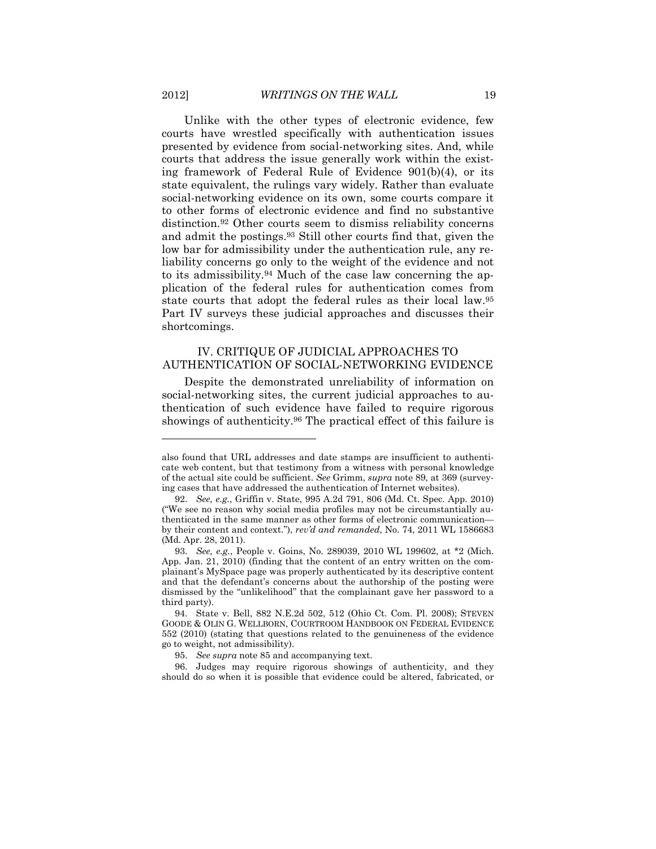Unlike with the other types of electronic evidence, few courts have wrestled specifically with authentication issues presented by evidence from social-networking sites. And, while courts that address the issue generally work within the existing framework of Federal Rule of Evidence 901(b)(4), or its state equivalent, the rulings vary widely. Rather than evaluate social-networking evidence on its own, some courts compare it to other forms of electronic evidence and find no substantive distinction.92 Other courts seem to dismiss reliability concerns and admit the postings.93 Still other courts find that, given the low bar for admissibility under the authentication rule, any reliability concerns go only to the weight of the evidence and not to its admissibility.94 Much of the case law concerning the application of the federal rules for authentication comes from state courts that adopt the federal rules as their local law.95 Part IV surveys these judicial approaches and discusses their shortcomings.

# IV. CRITIQUE OF JUDICIAL APPROACHES TO AUTHENTICATION OF SOCIAL-NETWORKING EVIDENCE

Despite the demonstrated unreliability of information on social-networking sites, the current judicial approaches to authentication of such evidence have failed to require rigorous showings of authenticity.<sup>96</sup> The practical effect of this failure is

also found that URL addresses and date stamps are insufficient to authenticate web content, but that testimony from a witness with personal knowledge of the actual site could be sufficient. *See* Grimm, *supra* note 89, at 369 (surveying cases that have addressed the authentication of Internet websites).

<sup>92.</sup> *See, e.g.*, Griffin v. State, 995 A.2d 791, 806 (Md. Ct. Spec. App. 2010) ("We see no reason why social media profiles may not be circumstantially authenticated in the same manner as other forms of electronic communication by their content and context."), *rev'd and remanded*, No. 74, 2011 WL 1586683 (Md. Apr. 28, 2011).

<sup>93.</sup> *See, e.g.*, People v. Goins, No. 289039, 2010 WL 199602, at \*2 (Mich. App. Jan. 21, 2010) (finding that the content of an entry written on the complainant's MySpace page was properly authenticated by its descriptive content and that the defendant's concerns about the authorship of the posting were dismissed by the "unlikelihood" that the complainant gave her password to a third party).

 <sup>94.</sup> State v. Bell, 882 N.E.2d 502, 512 (Ohio Ct. Com. Pl. 2008); STEVEN GOODE & OLIN G. WELLBORN, COURTROOM HANDBOOK ON FEDERAL EVIDENCE 552 (2010) (stating that questions related to the genuineness of the evidence go to weight, not admissibility).

<sup>95.</sup> *See supra* note 85 and accompanying text.

 <sup>96.</sup> Judges may require rigorous showings of authenticity, and they should do so when it is possible that evidence could be altered, fabricated, or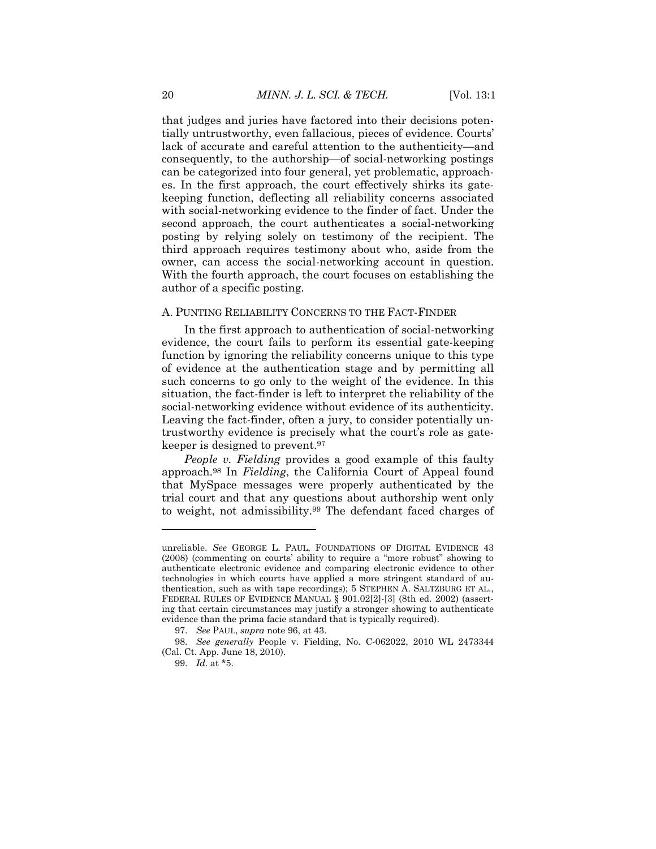that judges and juries have factored into their decisions potentially untrustworthy, even fallacious, pieces of evidence. Courts' lack of accurate and careful attention to the authenticity—and consequently, to the authorship—of social-networking postings can be categorized into four general, yet problematic, approaches. In the first approach, the court effectively shirks its gatekeeping function, deflecting all reliability concerns associated with social-networking evidence to the finder of fact. Under the second approach, the court authenticates a social-networking posting by relying solely on testimony of the recipient. The third approach requires testimony about who, aside from the owner, can access the social-networking account in question. With the fourth approach, the court focuses on establishing the author of a specific posting.

### A. PUNTING RELIABILITY CONCERNS TO THE FACT-FINDER

In the first approach to authentication of social-networking evidence, the court fails to perform its essential gate-keeping function by ignoring the reliability concerns unique to this type of evidence at the authentication stage and by permitting all such concerns to go only to the weight of the evidence. In this situation, the fact-finder is left to interpret the reliability of the social-networking evidence without evidence of its authenticity. Leaving the fact-finder, often a jury, to consider potentially untrustworthy evidence is precisely what the court's role as gatekeeper is designed to prevent.97

*People v. Fielding* provides a good example of this faulty approach.98 In *Fielding*, the California Court of Appeal found that MySpace messages were properly authenticated by the trial court and that any questions about authorship went only to weight, not admissibility.99 The defendant faced charges of

unreliable. *See* GEORGE L. PAUL, FOUNDATIONS OF DIGITAL EVIDENCE 43 (2008) (commenting on courts' ability to require a "more robust" showing to authenticate electronic evidence and comparing electronic evidence to other technologies in which courts have applied a more stringent standard of authentication, such as with tape recordings); 5 STEPHEN A. SALTZBURG ET AL., FEDERAL RULES OF EVIDENCE MANUAL § 901.02[2]-[3] (8th ed. 2002) (asserting that certain circumstances may justify a stronger showing to authenticate evidence than the prima facie standard that is typically required).

<sup>97.</sup> *See* PAUL, *supra* note 96, at 43.

<sup>98.</sup> *See generally* People v. Fielding, No. C-062022, 2010 WL 2473344 (Cal. Ct. App. June 18, 2010).

<sup>99.</sup> *Id.* at \*5.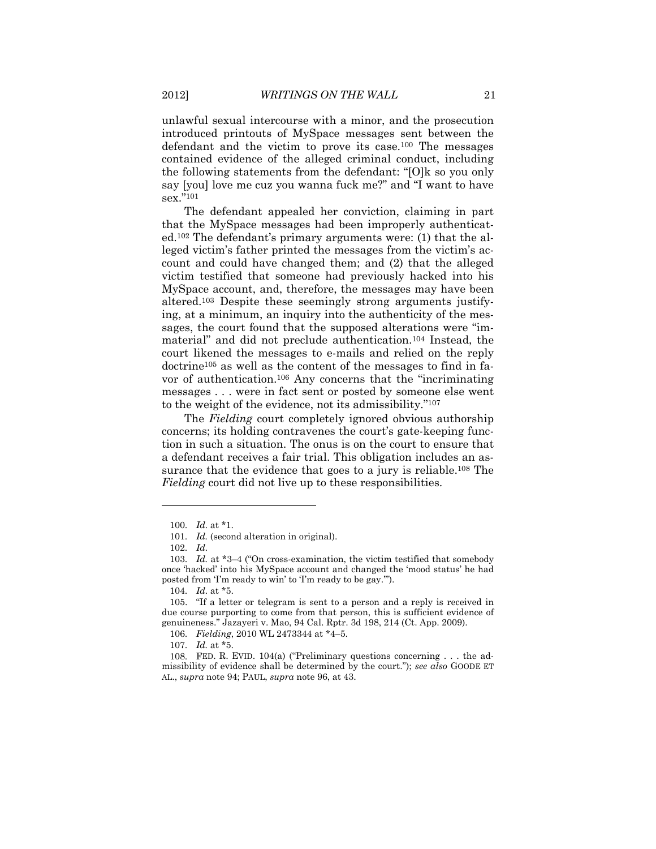unlawful sexual intercourse with a minor, and the prosecution introduced printouts of MySpace messages sent between the defendant and the victim to prove its case.100 The messages contained evidence of the alleged criminal conduct, including the following statements from the defendant: "[O]k so you only say [you] love me cuz you wanna fuck me?" and "I want to have sex."101

The defendant appealed her conviction, claiming in part that the MySpace messages had been improperly authenticated.102 The defendant's primary arguments were: (1) that the alleged victim's father printed the messages from the victim's account and could have changed them; and (2) that the alleged victim testified that someone had previously hacked into his MySpace account, and, therefore, the messages may have been altered.103 Despite these seemingly strong arguments justifying, at a minimum, an inquiry into the authenticity of the messages, the court found that the supposed alterations were "immaterial" and did not preclude authentication.104 Instead, the court likened the messages to e-mails and relied on the reply doctrine<sup>105</sup> as well as the content of the messages to find in favor of authentication.106 Any concerns that the "incriminating messages . . . were in fact sent or posted by someone else went to the weight of the evidence, not its admissibility."107

The *Fielding* court completely ignored obvious authorship concerns; its holding contravenes the court's gate-keeping function in such a situation. The onus is on the court to ensure that a defendant receives a fair trial. This obligation includes an assurance that the evidence that goes to a jury is reliable.<sup>108</sup> The *Fielding* court did not live up to these responsibilities.

<sup>100.</sup> *Id.* at \*1.

<sup>101.</sup> *Id.* (second alteration in original).

<sup>102.</sup> *Id.*

<sup>103.</sup> *Id.* at \*3–4 ("On cross-examination, the victim testified that somebody once 'hacked' into his MySpace account and changed the 'mood status' he had posted from 'I'm ready to win' to 'I'm ready to be gay.'").

<sup>104.</sup> *Id.* at \*5.

 <sup>105. &</sup>quot;If a letter or telegram is sent to a person and a reply is received in due course purporting to come from that person, this is sufficient evidence of genuineness." Jazayeri v. Mao, 94 Cal. Rptr. 3d 198, 214 (Ct. App. 2009).

 <sup>106.</sup> *Fielding*, 2010 WL 2473344 at \*4–5.

<sup>107.</sup> *Id.* at \*5.

 <sup>108.</sup> FED. R. EVID. 104(a) ("Preliminary questions concerning . . . the admissibility of evidence shall be determined by the court."); *see also* GOODE ET AL., *supra* note 94; PAUL, *supra* note 96, at 43.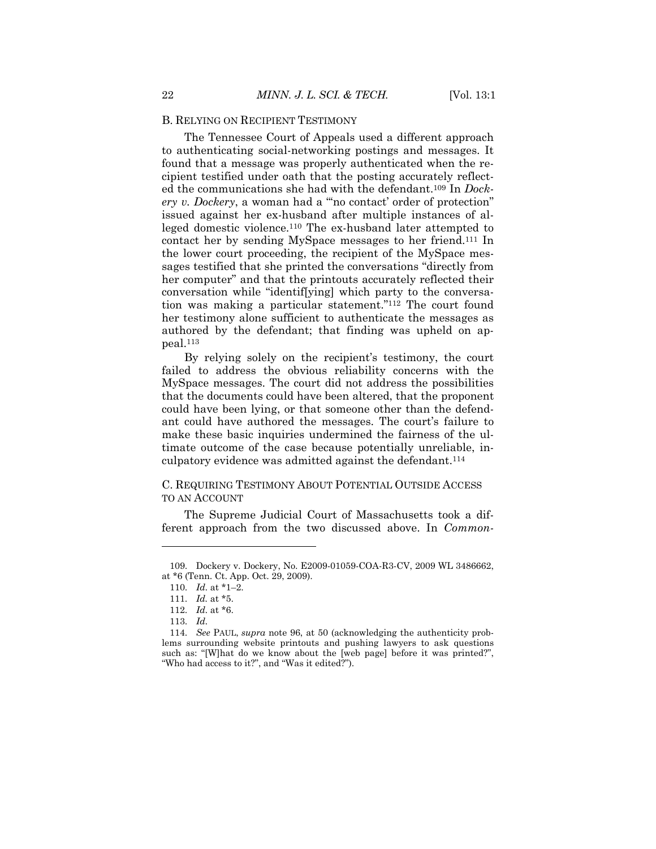#### B. RELYING ON RECIPIENT TESTIMONY

The Tennessee Court of Appeals used a different approach to authenticating social-networking postings and messages. It found that a message was properly authenticated when the recipient testified under oath that the posting accurately reflected the communications she had with the defendant.109 In *Dockery v. Dockery*, a woman had a "'no contact' order of protection" issued against her ex-husband after multiple instances of alleged domestic violence.110 The ex-husband later attempted to contact her by sending MySpace messages to her friend.111 In the lower court proceeding, the recipient of the MySpace messages testified that she printed the conversations "directly from her computer" and that the printouts accurately reflected their conversation while "identif[ying] which party to the conversation was making a particular statement."112 The court found her testimony alone sufficient to authenticate the messages as authored by the defendant; that finding was upheld on appeal.113

By relying solely on the recipient's testimony, the court failed to address the obvious reliability concerns with the MySpace messages. The court did not address the possibilities that the documents could have been altered, that the proponent could have been lying, or that someone other than the defendant could have authored the messages. The court's failure to make these basic inquiries undermined the fairness of the ultimate outcome of the case because potentially unreliable, inculpatory evidence was admitted against the defendant.114

# C. REQUIRING TESTIMONY ABOUT POTENTIAL OUTSIDE ACCESS TO AN ACCOUNT

The Supreme Judicial Court of Massachusetts took a different approach from the two discussed above. In *Common-*

 <sup>109.</sup> Dockery v. Dockery, No. E2009-01059-COA-R3-CV, 2009 WL 3486662, at \*6 (Tenn. Ct. App. Oct. 29, 2009).

<sup>110.</sup> *Id.* at \*1–2.

<sup>111.</sup> *Id.* at \*5.

<sup>112.</sup> *Id.* at \*6.

<sup>113.</sup> *Id.*

<sup>114.</sup> *See* PAUL, *supra* note 96, at 50 (acknowledging the authenticity problems surrounding website printouts and pushing lawyers to ask questions such as: "[W]hat do we know about the [web page] before it was printed?", "Who had access to it?", and "Was it edited?").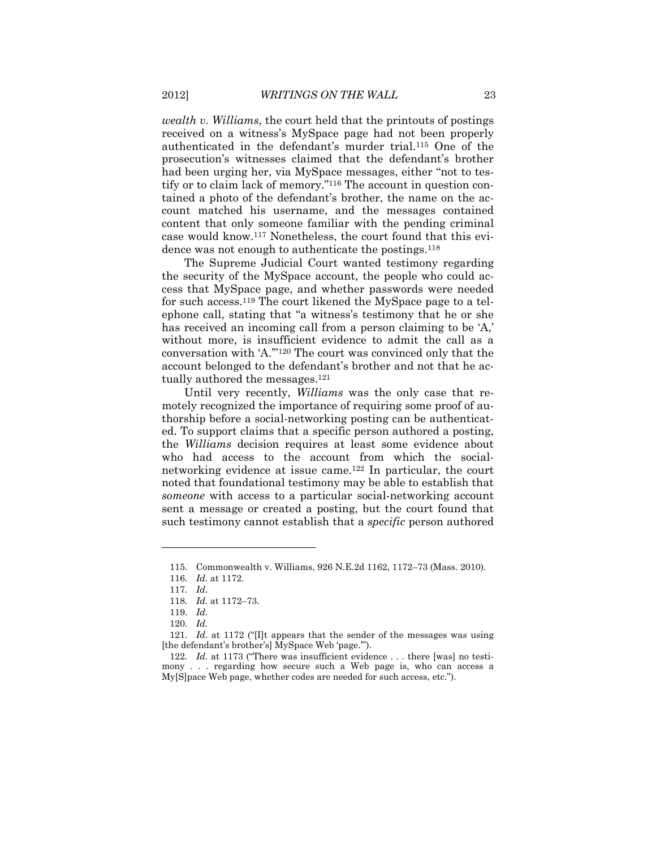*wealth v. Williams*, the court held that the printouts of postings received on a witness's MySpace page had not been properly authenticated in the defendant's murder trial.115 One of the prosecution's witnesses claimed that the defendant's brother had been urging her, via MySpace messages, either "not to testify or to claim lack of memory."116 The account in question contained a photo of the defendant's brother, the name on the account matched his username, and the messages contained content that only someone familiar with the pending criminal case would know.117 Nonetheless, the court found that this evidence was not enough to authenticate the postings.118

The Supreme Judicial Court wanted testimony regarding the security of the MySpace account, the people who could access that MySpace page, and whether passwords were needed for such access.119 The court likened the MySpace page to a telephone call, stating that "a witness's testimony that he or she has received an incoming call from a person claiming to be 'A,' without more, is insufficient evidence to admit the call as a conversation with 'A.'"120 The court was convinced only that the account belonged to the defendant's brother and not that he actually authored the messages.121

Until very recently, *Williams* was the only case that remotely recognized the importance of requiring some proof of authorship before a social-networking posting can be authenticated. To support claims that a specific person authored a posting, the *Williams* decision requires at least some evidence about who had access to the account from which the socialnetworking evidence at issue came.122 In particular, the court noted that foundational testimony may be able to establish that *someone* with access to a particular social-networking account sent a message or created a posting, but the court found that such testimony cannot establish that a *specific* person authored

 <sup>115.</sup> Commonwealth v. Williams, 926 N.E.2d 1162, 1172–73 (Mass. 2010).

<sup>116.</sup> *Id.* at 1172.

<sup>117.</sup> *Id.*

<sup>118.</sup> *Id.* at 1172–73.

<sup>119.</sup> *Id.*

<sup>120.</sup> *Id.*

<sup>121.</sup> *Id.* at 1172 ("[I]t appears that the sender of the messages was using [the defendant's brother's] MySpace Web 'page.'").

<sup>122.</sup> *Id.* at 1173 ("There was insufficient evidence . . . there [was] no testimony . . . regarding how secure such a Web page is, who can access a My[S]pace Web page, whether codes are needed for such access, etc.").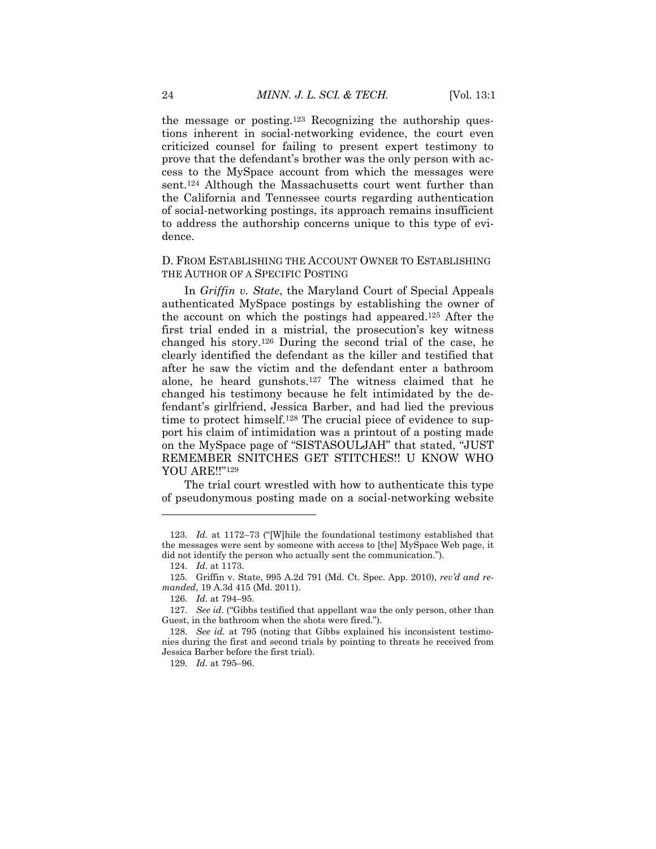the message or posting.123 Recognizing the authorship questions inherent in social-networking evidence, the court even criticized counsel for failing to present expert testimony to prove that the defendant's brother was the only person with access to the MySpace account from which the messages were sent.124 Although the Massachusetts court went further than the California and Tennessee courts regarding authentication of social-networking postings, its approach remains insufficient to address the authorship concerns unique to this type of evidence.

### D. FROM ESTABLISHING THE ACCOUNT OWNER TO ESTABLISHING THE AUTHOR OF A SPECIFIC POSTING

In *Griffin v. State*, the Maryland Court of Special Appeals authenticated MySpace postings by establishing the owner of the account on which the postings had appeared.125 After the first trial ended in a mistrial, the prosecution's key witness changed his story.126 During the second trial of the case, he clearly identified the defendant as the killer and testified that after he saw the victim and the defendant enter a bathroom alone, he heard gunshots.127 The witness claimed that he changed his testimony because he felt intimidated by the defendant's girlfriend, Jessica Barber, and had lied the previous time to protect himself.128 The crucial piece of evidence to support his claim of intimidation was a printout of a posting made on the MySpace page of "SISTASOULJAH" that stated, "JUST REMEMBER SNITCHES GET STITCHES!! U KNOW WHO YOU ARE!!"129

The trial court wrestled with how to authenticate this type of pseudonymous posting made on a social-networking website

<sup>123.</sup> *Id.* at 1172–73 ("[W]hile the foundational testimony established that the messages were sent by someone with access to [the] MySpace Web page, it did not identify the person who actually sent the communication.").

<sup>124.</sup> *Id.* at 1173.

 <sup>125.</sup> Griffin v. State, 995 A.2d 791 (Md. Ct. Spec. App. 2010), *rev'd and remanded*, 19 A.3d 415 (Md. 2011).

<sup>126.</sup> *Id.* at 794–95.

<sup>127.</sup> *See id*. ("Gibbs testified that appellant was the only person, other than Guest, in the bathroom when the shots were fired.").

<sup>128.</sup> *See id.* at 795 (noting that Gibbs explained his inconsistent testimonies during the first and second trials by pointing to threats he received from Jessica Barber before the first trial).

<sup>129.</sup> *Id.* at 795–96.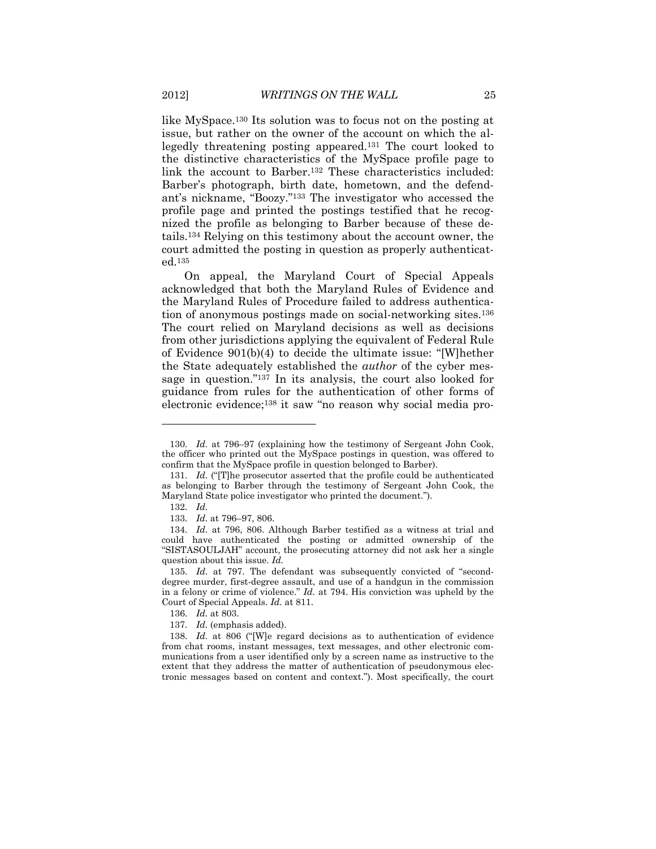like MySpace.130 Its solution was to focus not on the posting at issue, but rather on the owner of the account on which the allegedly threatening posting appeared.131 The court looked to the distinctive characteristics of the MySpace profile page to link the account to Barber.132 These characteristics included: Barber's photograph, birth date, hometown, and the defendant's nickname, "Boozy."133 The investigator who accessed the profile page and printed the postings testified that he recognized the profile as belonging to Barber because of these details.134 Relying on this testimony about the account owner, the court admitted the posting in question as properly authenticated.135

On appeal, the Maryland Court of Special Appeals acknowledged that both the Maryland Rules of Evidence and the Maryland Rules of Procedure failed to address authentication of anonymous postings made on social-networking sites.136 The court relied on Maryland decisions as well as decisions from other jurisdictions applying the equivalent of Federal Rule of Evidence 901(b)(4) to decide the ultimate issue: "[W]hether the State adequately established the *author* of the cyber message in question."137 In its analysis, the court also looked for guidance from rules for the authentication of other forms of electronic evidence;138 it saw "no reason why social media pro-

<sup>130.</sup> *Id.* at 796–97 (explaining how the testimony of Sergeant John Cook, the officer who printed out the MySpace postings in question, was offered to confirm that the MySpace profile in question belonged to Barber).

<sup>131.</sup> *Id.* ("[T]he prosecutor asserted that the profile could be authenticated as belonging to Barber through the testimony of Sergeant John Cook, the Maryland State police investigator who printed the document.").

<sup>132.</sup> *Id.*

<sup>133.</sup> *Id.* at 796–97, 806.

<sup>134.</sup> *Id.* at 796, 806. Although Barber testified as a witness at trial and could have authenticated the posting or admitted ownership of the "SISTASOULJAH" account, the prosecuting attorney did not ask her a single question about this issue. *Id.*

<sup>135.</sup> *Id.* at 797. The defendant was subsequently convicted of "seconddegree murder, first-degree assault, and use of a handgun in the commission in a felony or crime of violence." *Id.* at 794. His conviction was upheld by the Court of Special Appeals. *Id.* at 811.

<sup>136.</sup> *Id.* at 803.

<sup>137.</sup> *Id.* (emphasis added).

<sup>138.</sup> *Id.* at 806 ("[W]e regard decisions as to authentication of evidence from chat rooms, instant messages, text messages, and other electronic communications from a user identified only by a screen name as instructive to the extent that they address the matter of authentication of pseudonymous electronic messages based on content and context."). Most specifically, the court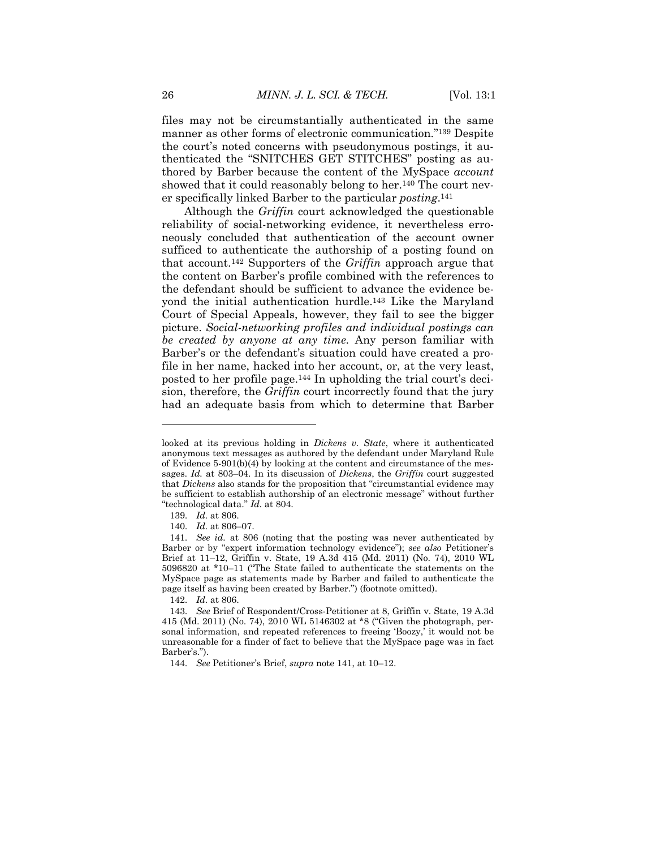files may not be circumstantially authenticated in the same manner as other forms of electronic communication."139 Despite the court's noted concerns with pseudonymous postings, it authenticated the "SNITCHES GET STITCHES" posting as authored by Barber because the content of the MySpace *account* showed that it could reasonably belong to her.140 The court never specifically linked Barber to the particular *posting*.141

Although the *Griffin* court acknowledged the questionable reliability of social-networking evidence, it nevertheless erroneously concluded that authentication of the account owner sufficed to authenticate the authorship of a posting found on that account.142 Supporters of the *Griffin* approach argue that the content on Barber's profile combined with the references to the defendant should be sufficient to advance the evidence beyond the initial authentication hurdle.143 Like the Maryland Court of Special Appeals, however, they fail to see the bigger picture. *Social-networking profiles and individual postings can be created by anyone at any time*. Any person familiar with Barber's or the defendant's situation could have created a profile in her name, hacked into her account, or, at the very least, posted to her profile page.144 In upholding the trial court's decision, therefore, the *Griffin* court incorrectly found that the jury had an adequate basis from which to determine that Barber

looked at its previous holding in *Dickens v. State*, where it authenticated anonymous text messages as authored by the defendant under Maryland Rule of Evidence 5-901(b)(4) by looking at the content and circumstance of the messages. *Id.* at 803–04. In its discussion of *Dickens*, the *Griffin* court suggested that *Dickens* also stands for the proposition that "circumstantial evidence may be sufficient to establish authorship of an electronic message" without further "technological data." *Id.* at 804.

<sup>139.</sup> *Id.* at 806.

<sup>140.</sup> *Id.* at 806–07.

<sup>141.</sup> *See id.* at 806 (noting that the posting was never authenticated by Barber or by "expert information technology evidence"); *see also* Petitioner's Brief at 11–12, Griffin v. State, 19 A.3d 415 (Md. 2011) (No. 74), 2010 WL 5096820 at \*10–11 ("The State failed to authenticate the statements on the MySpace page as statements made by Barber and failed to authenticate the page itself as having been created by Barber.") (footnote omitted).

<sup>142.</sup> *Id.* at 806.

<sup>143.</sup> *See* Brief of Respondent/Cross-Petitioner at 8, Griffin v. State, 19 A.3d 415 (Md. 2011) (No. 74), 2010 WL 5146302 at \*8 ("Given the photograph, personal information, and repeated references to freeing 'Boozy,' it would not be unreasonable for a finder of fact to believe that the MySpace page was in fact Barber's.").

<sup>144.</sup> *See* Petitioner's Brief, *supra* note 141, at 10–12.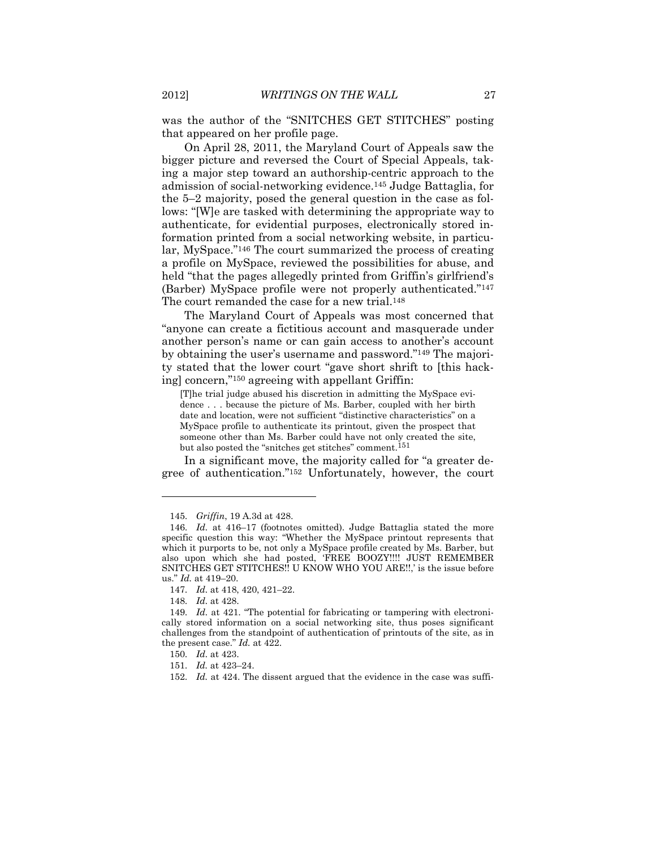was the author of the "SNITCHES GET STITCHES" posting that appeared on her profile page.

On April 28, 2011, the Maryland Court of Appeals saw the bigger picture and reversed the Court of Special Appeals, taking a major step toward an authorship-centric approach to the admission of social-networking evidence.145 Judge Battaglia, for the 5–2 majority, posed the general question in the case as follows: "[W]e are tasked with determining the appropriate way to authenticate, for evidential purposes, electronically stored information printed from a social networking website, in particular, MySpace."146 The court summarized the process of creating a profile on MySpace, reviewed the possibilities for abuse, and held "that the pages allegedly printed from Griffin's girlfriend's (Barber) MySpace profile were not properly authenticated."147 The court remanded the case for a new trial.<sup>148</sup>

The Maryland Court of Appeals was most concerned that "anyone can create a fictitious account and masquerade under another person's name or can gain access to another's account by obtaining the user's username and password."149 The majority stated that the lower court "gave short shrift to [this hacking] concern,"150 agreeing with appellant Griffin:

[T]he trial judge abused his discretion in admitting the MySpace evidence . . . because the picture of Ms. Barber, coupled with her birth date and location, were not sufficient "distinctive characteristics" on a MySpace profile to authenticate its printout, given the prospect that someone other than Ms. Barber could have not only created the site, but also posted the "snitches get stitches" comment.<sup>151</sup>

In a significant move, the majority called for "a greater degree of authentication."152 Unfortunately, however, the court

<sup>145.</sup> *Griffin*, 19 A.3d at 428.

<sup>146.</sup> *Id.* at 416–17 (footnotes omitted). Judge Battaglia stated the more specific question this way: "Whether the MySpace printout represents that which it purports to be, not only a MySpace profile created by Ms. Barber, but also upon which she had posted, 'FREE BOOZY!!!! JUST REMEMBER SNITCHES GET STITCHES!! U KNOW WHO YOU ARE!!,' is the issue before us." *Id.* at 419–20.

<sup>147.</sup> *Id.* at 418, 420, 421–22.

<sup>148.</sup> *Id.* at 428.

<sup>149.</sup> *Id.* at 421. "The potential for fabricating or tampering with electronically stored information on a social networking site, thus poses significant challenges from the standpoint of authentication of printouts of the site, as in the present case." *Id.* at 422.

<sup>150.</sup> *Id.* at 423.

<sup>151.</sup> *Id.* at 423–24.

<sup>152.</sup> *Id.* at 424. The dissent argued that the evidence in the case was suffi-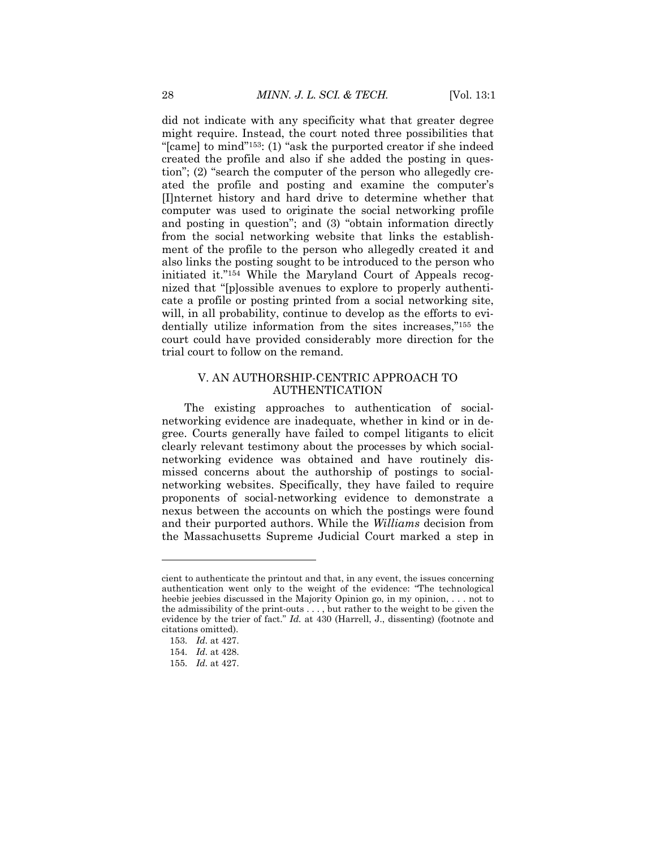did not indicate with any specificity what that greater degree might require. Instead, the court noted three possibilities that "[came] to mind"153: (1) "ask the purported creator if she indeed created the profile and also if she added the posting in question"; (2) "search the computer of the person who allegedly created the profile and posting and examine the computer's [I]nternet history and hard drive to determine whether that computer was used to originate the social networking profile and posting in question"; and (3) "obtain information directly from the social networking website that links the establishment of the profile to the person who allegedly created it and also links the posting sought to be introduced to the person who initiated it."154 While the Maryland Court of Appeals recognized that "[p]ossible avenues to explore to properly authenticate a profile or posting printed from a social networking site, will, in all probability, continue to develop as the efforts to evidentially utilize information from the sites increases,"155 the court could have provided considerably more direction for the trial court to follow on the remand.

# V. AN AUTHORSHIP-CENTRIC APPROACH TO AUTHENTICATION

The existing approaches to authentication of socialnetworking evidence are inadequate, whether in kind or in degree. Courts generally have failed to compel litigants to elicit clearly relevant testimony about the processes by which socialnetworking evidence was obtained and have routinely dismissed concerns about the authorship of postings to socialnetworking websites. Specifically, they have failed to require proponents of social-networking evidence to demonstrate a nexus between the accounts on which the postings were found and their purported authors. While the *Williams* decision from the Massachusetts Supreme Judicial Court marked a step in

cient to authenticate the printout and that, in any event, the issues concerning authentication went only to the weight of the evidence: "The technological heebie jeebies discussed in the Majority Opinion go, in my opinion, . . . not to the admissibility of the print-outs . . . , but rather to the weight to be given the evidence by the trier of fact." *Id.* at 430 (Harrell, J., dissenting) (footnote and citations omitted).

<sup>153.</sup> *Id.* at 427.

<sup>154.</sup> *Id.* at 428.

<sup>155.</sup> *Id.* at 427.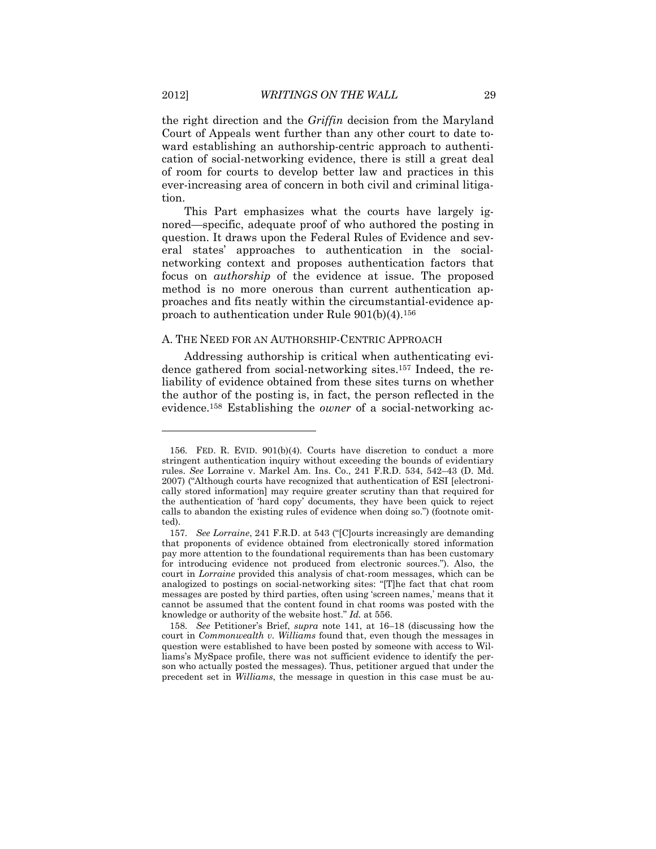the right direction and the *Griffin* decision from the Maryland Court of Appeals went further than any other court to date toward establishing an authorship-centric approach to authentication of social-networking evidence, there is still a great deal of room for courts to develop better law and practices in this ever-increasing area of concern in both civil and criminal litigation.

This Part emphasizes what the courts have largely ignored—specific, adequate proof of who authored the posting in question. It draws upon the Federal Rules of Evidence and several states' approaches to authentication in the socialnetworking context and proposes authentication factors that focus on *authorship* of the evidence at issue. The proposed method is no more onerous than current authentication approaches and fits neatly within the circumstantial-evidence approach to authentication under Rule  $901(b)(4)$ .<sup>156</sup>

#### A. THE NEED FOR AN AUTHORSHIP-CENTRIC APPROACH

Addressing authorship is critical when authenticating evidence gathered from social-networking sites.157 Indeed, the reliability of evidence obtained from these sites turns on whether the author of the posting is, in fact, the person reflected in the evidence.158 Establishing the *owner* of a social-networking ac-

 <sup>156.</sup> FED. R. EVID. 901(b)(4)*.* Courts have discretion to conduct a more stringent authentication inquiry without exceeding the bounds of evidentiary rules. *See* Lorraine v. Markel Am. Ins. Co., 241 F.R.D. 534, 542–43 (D. Md. 2007) ("Although courts have recognized that authentication of ESI [electronically stored information] may require greater scrutiny than that required for the authentication of 'hard copy' documents, they have been quick to reject calls to abandon the existing rules of evidence when doing so.") (footnote omitted).

<sup>157.</sup> *See Lorraine*, 241 F.R.D. at 543 ("[C]ourts increasingly are demanding that proponents of evidence obtained from electronically stored information pay more attention to the foundational requirements than has been customary for introducing evidence not produced from electronic sources."). Also, the court in *Lorraine* provided this analysis of chat-room messages, which can be analogized to postings on social-networking sites: "[T]he fact that chat room messages are posted by third parties, often using 'screen names,' means that it cannot be assumed that the content found in chat rooms was posted with the knowledge or authority of the website host." *Id.* at 556.

<sup>158.</sup> *See* Petitioner's Brief, *supra* note 141, at 16–18 (discussing how the court in *Commonwealth v. Williams* found that, even though the messages in question were established to have been posted by someone with access to Williams's MySpace profile, there was not sufficient evidence to identify the person who actually posted the messages). Thus, petitioner argued that under the precedent set in *Williams*, the message in question in this case must be au-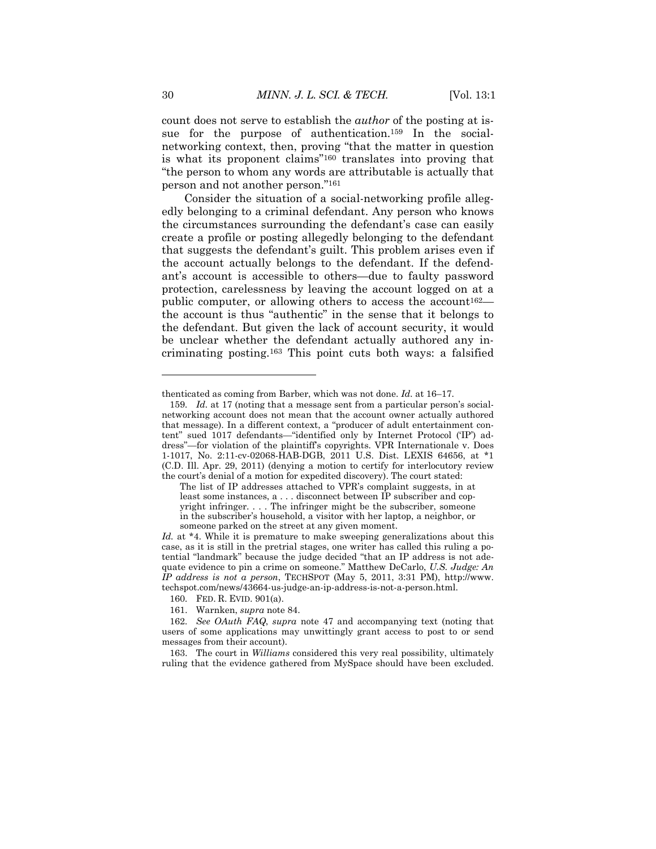count does not serve to establish the *author* of the posting at issue for the purpose of authentication.159 In the socialnetworking context, then, proving "that the matter in question is what its proponent claims"160 translates into proving that "the person to whom any words are attributable is actually that person and not another person."161

Consider the situation of a social-networking profile allegedly belonging to a criminal defendant. Any person who knows the circumstances surrounding the defendant's case can easily create a profile or posting allegedly belonging to the defendant that suggests the defendant's guilt. This problem arises even if the account actually belongs to the defendant. If the defendant's account is accessible to others—due to faulty password protection, carelessness by leaving the account logged on at a public computer, or allowing others to access the account  $162$  the account is thus "authentic" in the sense that it belongs to the defendant. But given the lack of account security, it would be unclear whether the defendant actually authored any incriminating posting.163 This point cuts both ways: a falsified

thenticated as coming from Barber, which was not done. *Id.* at 16–17.

<sup>159.</sup> *Id.* at 17 (noting that a message sent from a particular person's socialnetworking account does not mean that the account owner actually authored that message). In a different context, a "producer of adult entertainment content" sued 1017 defendants—"identified only by Internet Protocol ('IP') address"—for violation of the plaintiff's copyrights. VPR Internationale v. Does 1-1017, No. 2:11-cv-02068-HAB-DGB, 2011 U.S. Dist. LEXIS 64656, at \*1 (C.D. Ill. Apr. 29, 2011) (denying a motion to certify for interlocutory review the court's denial of a motion for expedited discovery). The court stated:

The list of IP addresses attached to VPR's complaint suggests, in at least some instances, a . . . disconnect between IP subscriber and copyright infringer. . . . The infringer might be the subscriber, someone in the subscriber's household, a visitor with her laptop, a neighbor, or someone parked on the street at any given moment.

*Id.* at \*4. While it is premature to make sweeping generalizations about this case, as it is still in the pretrial stages, one writer has called this ruling a potential "landmark" because the judge decided "that an IP address is not adequate evidence to pin a crime on someone." Matthew DeCarlo, *U.S. Judge: An IP address is not a person*, TECHSPOT (May 5, 2011, 3:31 PM), http://www. techspot.com/news/43664-us-judge-an-ip-address-is-not-a-person.html.

 <sup>160.</sup> FED. R. EVID. 901(a).

 <sup>161.</sup> Warnken, *supra* note 84.

<sup>162.</sup> *See OAuth FAQ*, *supra* note 47 and accompanying text (noting that users of some applications may unwittingly grant access to post to or send messages from their account).

 <sup>163.</sup> The court in *Williams* considered this very real possibility, ultimately ruling that the evidence gathered from MySpace should have been excluded.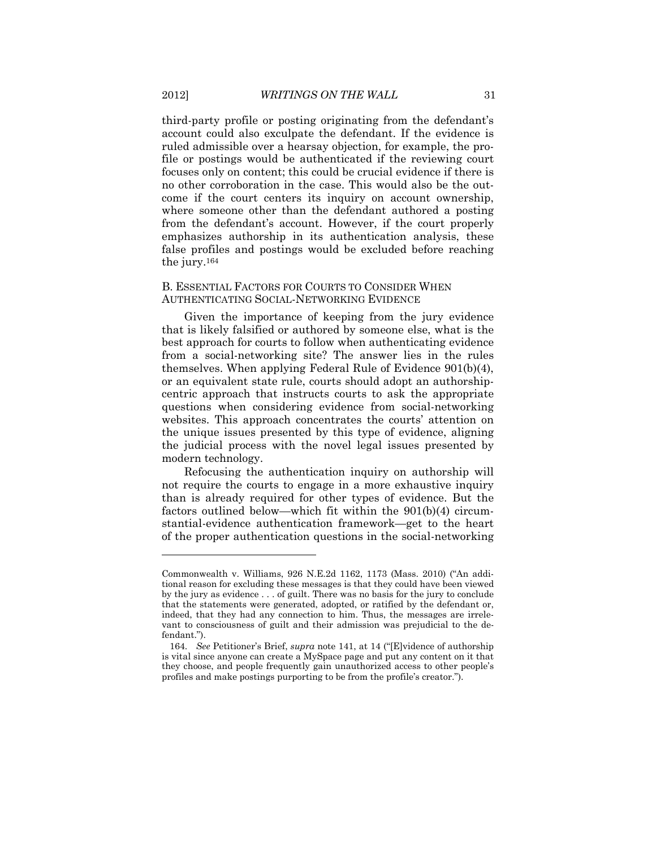third-party profile or posting originating from the defendant's account could also exculpate the defendant. If the evidence is ruled admissible over a hearsay objection, for example, the profile or postings would be authenticated if the reviewing court focuses only on content; this could be crucial evidence if there is no other corroboration in the case. This would also be the outcome if the court centers its inquiry on account ownership, where someone other than the defendant authored a posting from the defendant's account. However, if the court properly emphasizes authorship in its authentication analysis, these false profiles and postings would be excluded before reaching the jury.164

#### B. ESSENTIAL FACTORS FOR COURTS TO CONSIDER WHEN AUTHENTICATING SOCIAL-NETWORKING EVIDENCE

Given the importance of keeping from the jury evidence that is likely falsified or authored by someone else, what is the best approach for courts to follow when authenticating evidence from a social-networking site? The answer lies in the rules themselves. When applying Federal Rule of Evidence 901(b)(4), or an equivalent state rule, courts should adopt an authorshipcentric approach that instructs courts to ask the appropriate questions when considering evidence from social-networking websites. This approach concentrates the courts' attention on the unique issues presented by this type of evidence, aligning the judicial process with the novel legal issues presented by modern technology.

Refocusing the authentication inquiry on authorship will not require the courts to engage in a more exhaustive inquiry than is already required for other types of evidence. But the factors outlined below—which fit within the 901(b)(4) circumstantial-evidence authentication framework—get to the heart of the proper authentication questions in the social-networking

Commonwealth v. Williams, 926 N.E.2d 1162, 1173 (Mass. 2010) ("An additional reason for excluding these messages is that they could have been viewed by the jury as evidence . . . of guilt. There was no basis for the jury to conclude that the statements were generated, adopted, or ratified by the defendant or, indeed, that they had any connection to him. Thus, the messages are irrelevant to consciousness of guilt and their admission was prejudicial to the defendant.").

<sup>164.</sup> *See* Petitioner's Brief, *supra* note 141, at 14 ("[E]vidence of authorship is vital since anyone can create a MySpace page and put any content on it that they choose, and people frequently gain unauthorized access to other people's profiles and make postings purporting to be from the profile's creator.").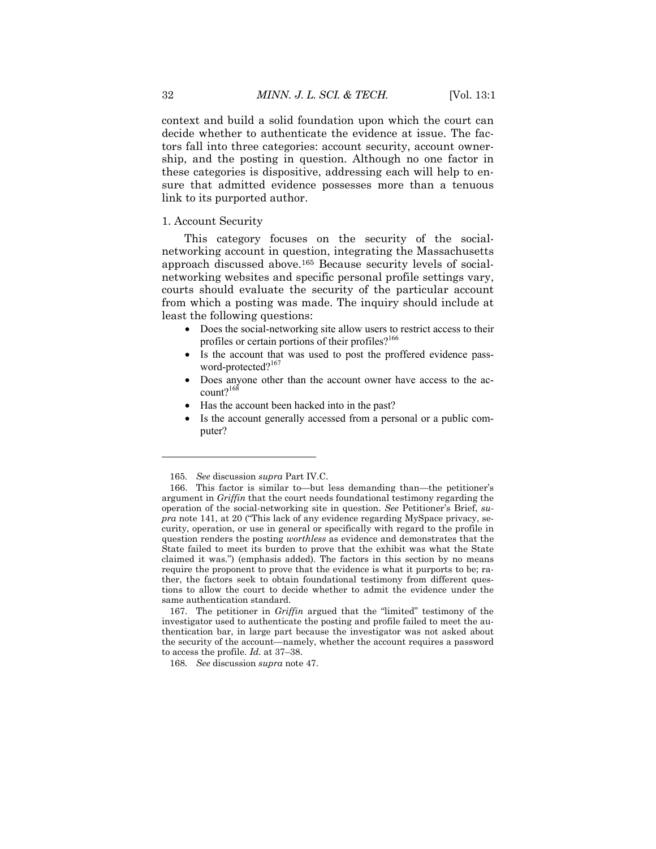context and build a solid foundation upon which the court can decide whether to authenticate the evidence at issue. The factors fall into three categories: account security, account ownership, and the posting in question. Although no one factor in these categories is dispositive, addressing each will help to ensure that admitted evidence possesses more than a tenuous link to its purported author.

# 1. Account Security

This category focuses on the security of the socialnetworking account in question, integrating the Massachusetts approach discussed above.165 Because security levels of socialnetworking websites and specific personal profile settings vary, courts should evaluate the security of the particular account from which a posting was made. The inquiry should include at least the following questions:

- Does the social-networking site allow users to restrict access to their profiles or certain portions of their profiles?<sup>166</sup>
- Is the account that was used to post the proffered evidence password-protected?<sup>167</sup>
- Does anyone other than the account owner have access to the account?<sup>168</sup>
- Has the account been hacked into in the past?
- Is the account generally accessed from a personal or a public computer?

 167. The petitioner in *Griffin* argued that the "limited" testimony of the investigator used to authenticate the posting and profile failed to meet the authentication bar, in large part because the investigator was not asked about the security of the account—namely, whether the account requires a password to access the profile. *Id.* at 37–38.

168. *See* discussion *supra* note 47.

<sup>165.</sup> *See* discussion *supra* Part IV.C.

 <sup>166.</sup> This factor is similar to—but less demanding than—the petitioner's argument in *Griffin* that the court needs foundational testimony regarding the operation of the social-networking site in question. *See* Petitioner's Brief, *supra* note 141, at 20 ("This lack of any evidence regarding MySpace privacy, security, operation, or use in general or specifically with regard to the profile in question renders the posting *worthless* as evidence and demonstrates that the State failed to meet its burden to prove that the exhibit was what the State claimed it was.") (emphasis added). The factors in this section by no means require the proponent to prove that the evidence is what it purports to be; rather, the factors seek to obtain foundational testimony from different questions to allow the court to decide whether to admit the evidence under the same authentication standard.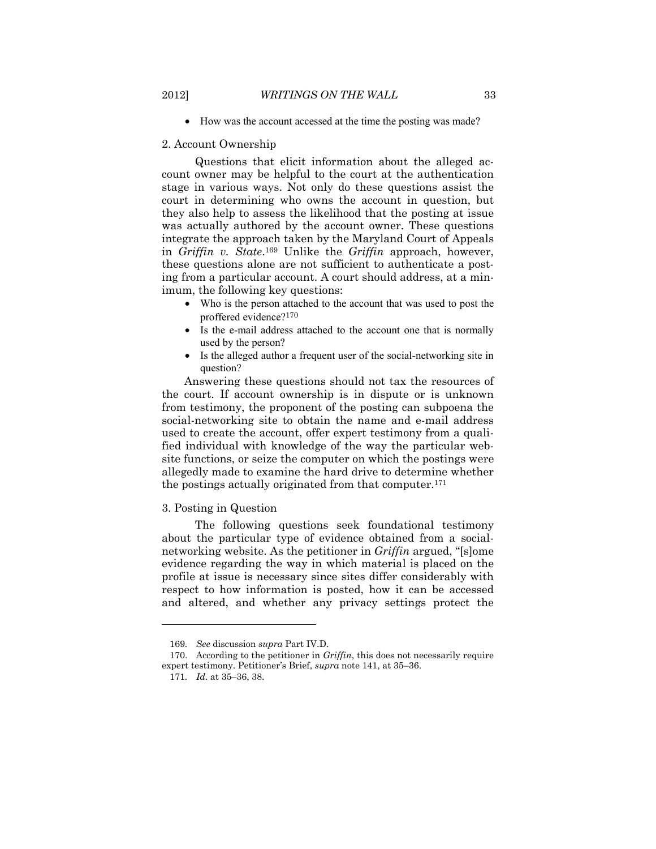• How was the account accessed at the time the posting was made?

#### 2. Account Ownership

 Questions that elicit information about the alleged account owner may be helpful to the court at the authentication stage in various ways. Not only do these questions assist the court in determining who owns the account in question, but they also help to assess the likelihood that the posting at issue was actually authored by the account owner. These questions integrate the approach taken by the Maryland Court of Appeals in *Griffin v. State*.169 Unlike the *Griffin* approach, however, these questions alone are not sufficient to authenticate a posting from a particular account. A court should address, at a minimum, the following key questions:

- Who is the person attached to the account that was used to post the proffered evidence?<sup>170</sup>
- Is the e-mail address attached to the account one that is normally used by the person?
- Is the alleged author a frequent user of the social-networking site in question?

Answering these questions should not tax the resources of the court. If account ownership is in dispute or is unknown from testimony, the proponent of the posting can subpoena the social-networking site to obtain the name and e-mail address used to create the account, offer expert testimony from a qualified individual with knowledge of the way the particular website functions, or seize the computer on which the postings were allegedly made to examine the hard drive to determine whether the postings actually originated from that computer.171

# 3. Posting in Question

 The following questions seek foundational testimony about the particular type of evidence obtained from a socialnetworking website. As the petitioner in *Griffin* argued, "[s]ome evidence regarding the way in which material is placed on the profile at issue is necessary since sites differ considerably with respect to how information is posted, how it can be accessed and altered, and whether any privacy settings protect the

<sup>169.</sup> *See* discussion *supra* Part IV.D.

 <sup>170.</sup> According to the petitioner in *Griffin*, this does not necessarily require expert testimony. Petitioner's Brief, *supra* note 141, at 35–36.

<sup>171.</sup> *Id.* at 35–36, 38.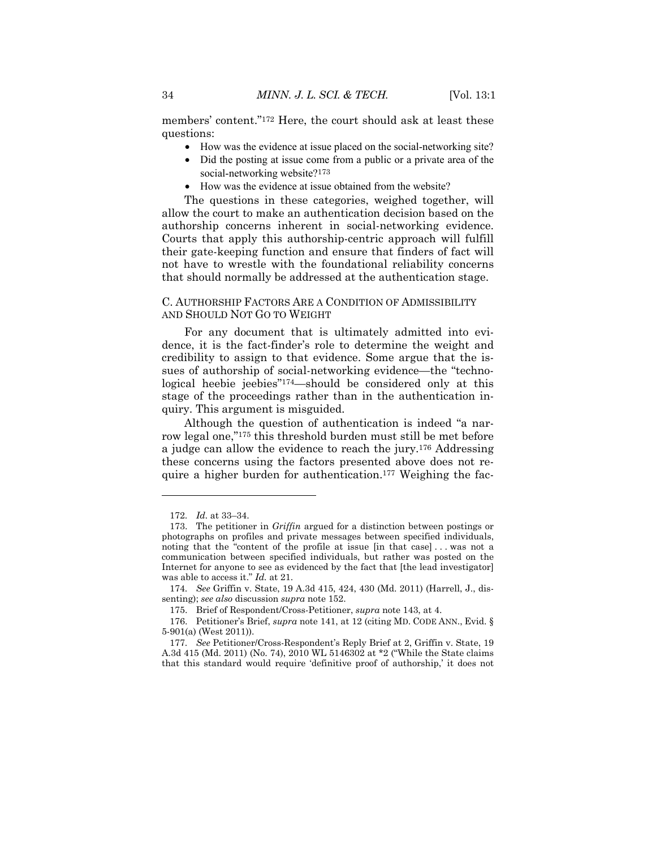members' content."172 Here, the court should ask at least these questions:

- How was the evidence at issue placed on the social-networking site?
- Did the posting at issue come from a public or a private area of the social-networking website?<sup>173</sup>
- How was the evidence at issue obtained from the website?

The questions in these categories, weighed together, will allow the court to make an authentication decision based on the authorship concerns inherent in social-networking evidence. Courts that apply this authorship-centric approach will fulfill their gate-keeping function and ensure that finders of fact will not have to wrestle with the foundational reliability concerns that should normally be addressed at the authentication stage.

### C. AUTHORSHIP FACTORS ARE A CONDITION OF ADMISSIBILITY AND SHOULD NOT GO TO WEIGHT

For any document that is ultimately admitted into evidence, it is the fact-finder's role to determine the weight and credibility to assign to that evidence. Some argue that the issues of authorship of social-networking evidence—the "technological heebie jeebies"174—should be considered only at this stage of the proceedings rather than in the authentication inquiry. This argument is misguided.

Although the question of authentication is indeed "a narrow legal one,"175 this threshold burden must still be met before a judge can allow the evidence to reach the jury.176 Addressing these concerns using the factors presented above does not require a higher burden for authentication.177 Weighing the fac-

<sup>172.</sup> *Id.* at 33–34.

 <sup>173.</sup> The petitioner in *Griffin* argued for a distinction between postings or photographs on profiles and private messages between specified individuals, noting that the "content of the profile at issue [in that case] . . . was not a communication between specified individuals, but rather was posted on the Internet for anyone to see as evidenced by the fact that [the lead investigator] was able to access it." *Id.* at 21.

<sup>174.</sup> *See* Griffin v. State, 19 A.3d 415, 424, 430 (Md. 2011) (Harrell, J., dissenting); *see also* discussion *supra* note 152.

 <sup>175.</sup> Brief of Respondent/Cross-Petitioner, *supra* note 143, at 4.

 <sup>176.</sup> Petitioner's Brief, *supra* note 141, at 12 (citing MD. CODE ANN., Evid. § 5-901(a) (West 2011)).

<sup>177.</sup> *See* Petitioner/Cross-Respondent's Reply Brief at 2, Griffin v. State, 19 A.3d 415 (Md. 2011) (No. 74), 2010 WL 5146302 at \*2 ("While the State claims that this standard would require 'definitive proof of authorship,' it does not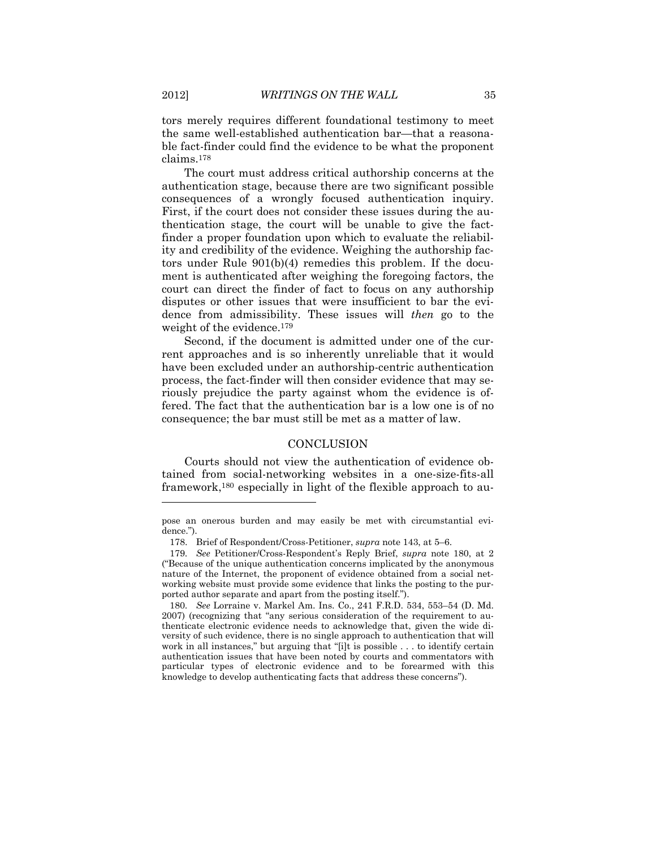tors merely requires different foundational testimony to meet the same well-established authentication bar—that a reasonable fact-finder could find the evidence to be what the proponent claims.178

The court must address critical authorship concerns at the authentication stage, because there are two significant possible consequences of a wrongly focused authentication inquiry. First, if the court does not consider these issues during the authentication stage, the court will be unable to give the factfinder a proper foundation upon which to evaluate the reliability and credibility of the evidence. Weighing the authorship factors under Rule 901(b)(4) remedies this problem. If the document is authenticated after weighing the foregoing factors, the court can direct the finder of fact to focus on any authorship disputes or other issues that were insufficient to bar the evidence from admissibility. These issues will *then* go to the weight of the evidence.<sup>179</sup>

Second, if the document is admitted under one of the current approaches and is so inherently unreliable that it would have been excluded under an authorship-centric authentication process, the fact-finder will then consider evidence that may seriously prejudice the party against whom the evidence is offered. The fact that the authentication bar is a low one is of no consequence; the bar must still be met as a matter of law.

#### **CONCLUSION**

Courts should not view the authentication of evidence obtained from social-networking websites in a one-size-fits-all framework,180 especially in light of the flexible approach to au-

pose an onerous burden and may easily be met with circumstantial evidence.").

 <sup>178.</sup> Brief of Respondent/Cross-Petitioner, *supra* note 143, at 5–6.

<sup>179.</sup> *See* Petitioner/Cross-Respondent's Reply Brief, *supra* note 180, at 2 ("Because of the unique authentication concerns implicated by the anonymous nature of the Internet, the proponent of evidence obtained from a social networking website must provide some evidence that links the posting to the purported author separate and apart from the posting itself.").

<sup>180.</sup> *See* Lorraine v. Markel Am. Ins. Co., 241 F.R.D. 534, 553–54 (D. Md. 2007) (recognizing that "any serious consideration of the requirement to authenticate electronic evidence needs to acknowledge that, given the wide diversity of such evidence, there is no single approach to authentication that will work in all instances," but arguing that "[i]t is possible . . . to identify certain authentication issues that have been noted by courts and commentators with particular types of electronic evidence and to be forearmed with this knowledge to develop authenticating facts that address these concerns").